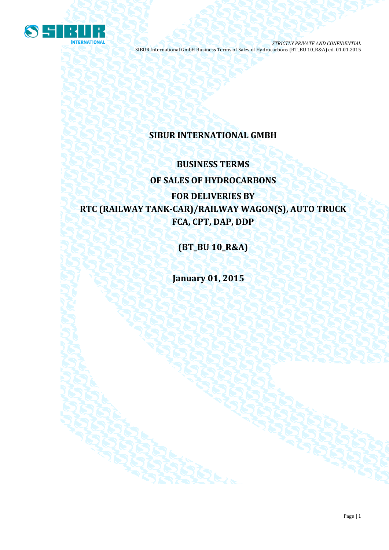

# **SIBUR INTERNATIONAL GMBH**

# **BUSINESS TERMS OF SALES OF HYDROCARBONS**

**FOR DELIVERIES BY RTC (RAILWAY TANK-CAR)/RAILWAY WAGON(S), AUTO TRUCK FCA, CPT, DAP, DDP**

**(BT\_BU 10\_R&A)**

**January 01, 2015**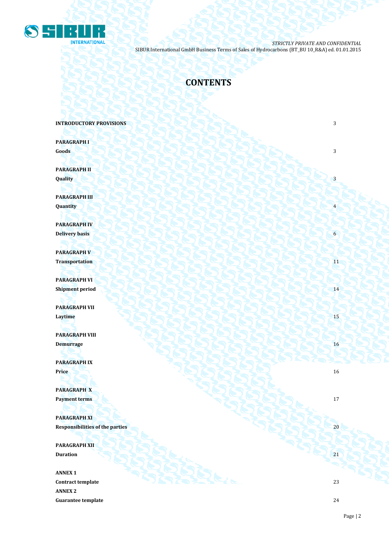

# **CONTENTS**

**INTRODUCTORY PROVISIONS 3** 

**PARAGRAPH I Goods** 3

**PARAGRAPH II**  $\mathbf{Quality}$   $\begin{pmatrix} 1 & 3 \end{pmatrix}$ 

**PARAGRAPH III Quantity** 4

**PARAGRAPH IV Delivery basis** 6

**PARAGRAPH V Transportation** 11

**PARAGRAPH VI** Shipment period **14** 20 8 14 2 2 2 2 3 2 2 3 2 2 3 2 14

**PARAGRAPH VII Laytime** 15

**PARAGRAPH VIII Demurrage** 16

**PARAGRAPH IX Price** 16

**PARAGRAPH X Payment terms** 17

**PARAGRAPH XI Responsibilities of the parties** 20

**PARAGRAPH XII Duration** 21 21

**ANNEX 1 Contract template** 23 **ANNEX 2 Guarantee template** 24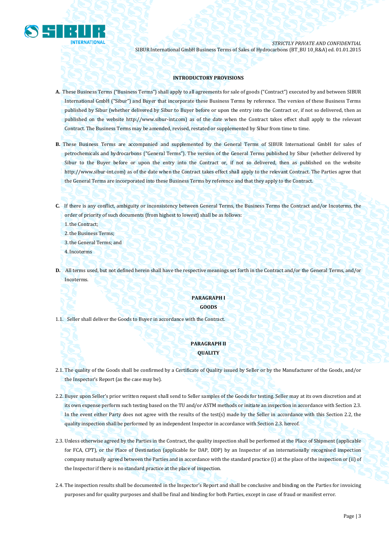

## **INTRODUCTORY PROVISIONS**

- **A.** These Business Terms ("Business Terms") shall apply to all agreements for sale of goods ("Contract") executed by and between SIBUR International GmbH ("Sibur") and Buyer that incorporate these Business Terms by reference. The version of these Business Terms published by Sibur (whether delivered by Sibur to Buyer before or upon the entry into the Contract or, if not so delivered, then as published on the website [http://www.sibur-int.com\)](http://www.sibur-int.com/) as of the date when the Contract takes effect shall apply to the relevant Contract. The Business Terms may be amended, revised, restated or supplemented by Sibur from time to time.
- **B.** These Business Terms are accompanied and supplemented by the General Terms of SIBUR International GmbH for sales of petrochemicals and hydrocarbons ("General Terms"). The version of the General Terms published by Sibur (whether delivered by Sibur to the Buyer before or upon the entry into the Contract or, if not so delivered, then as published on the website [http://www.sibur-int.com\)](http://www.sibur-int.com/) as of the date when the Contract takes effect shall apply to the relevant Contract. The Parties agree that the General Terms are incorporated into these Business Terms by reference and that they apply to the Contract.
- **C.** If there is any conflict, ambiguity or inconsistency between General Terms, the Business Terms the Contract and/or Incoterms, the order of priority of such documents (from highest to lowest) shall be as follows:

1.the Contract;

- 2.the Business Terms;
- 3.the General Terms; and
- 4.Incoterms
- **D.** All terms used, but not defined herein shall have the respective meanings set forth in the Contract and/or the General Terms, and/or Incoterms.

## **PARAGRAPH I GOODS**

1.1. Seller shall deliver the Goods to Buyer in accordance with the Contract.

# **PARAGRAPH II QUALITY**

- 2.1. The quality of the Goods shall be confirmed by a Certificate of Quality issued by Seller or by the Manufacturer of the Goods, and/or the Inspector's Report (as the case may be).
- 2.2. Buyer upon Seller's prior written request shall send to Seller samples of the Goods for testing. Seller may at its own discretion and at its own expense perform such testing based on the TU and/or ASTM methods or initiate an inspection in accordance with Section 2.3. In the event either Party does not agree with the results of the test(s) made by the Seller in accordance with this Section 2.2, the quality inspection shall be performed by an independent Inspector in accordance with Section 2.3. hereof.
- 2.3. Unless otherwise agreed by the Parties in the Contract, the quality inspection shall be performed at the Place of Shipment (applicable for FCA, CPT), or the Place of Destination (applicable for DAP, DDP) by an Inspector of an internationally recognised inspection company mutually agreed between the Parties and in accordance with the standard practice (i) at the place of the inspection or (ii) of the Inspector if there is no standard practice at the place of inspection.
- 2.4. The inspection results shall be documented in the Inspector's Report and shall be conclusive and binding on the Parties for invoicing purposes and for quality purposes and shall be final and binding for both Parties, except in case of fraud or manifest error.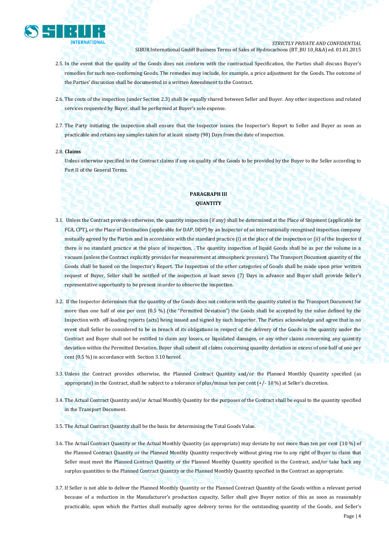

- 2.5. In the event that the quality of the Goods does not conform with the contractual Specification, the Parties shall discuss Buyer's remedies for such non-conforming Goods. The remedies may include, for example, a price adjustment for the Goods. The outcome of the Parties' discussion shall be documented in a written Amendment to the Contract.
- 2.6. The costs of the inspection (under Section 2.3) shall be equally shared between Seller and Buyer. Any other inspections and related services requested by Buyer, shall be performed at Buyer's sole expense.
- 2.7. The Party initiating the inspection shall ensure that the Inspector issues the Inspector's Report to Seller and Buyer as soon as practicable and retains any samples taken for at least ninety (90) Days from the date of inspection.

#### 2.8. **Claims**

Unless otherwise specified in the Contract claims if any on quality of the Goods to be provided by the Buyer to the Seller according to Part II of the General Terms.

# **PARAGRAPH III QUANTITY**

- 3.1. Unless the Contract provides otherwise, the quantity inspection (if any) shall be determined at the Place of Shipment (applicable for FCA, CPT), or the Place of Destination (applicable for DAP, DDP) by an Inspector of an internationally recognised inspection company mutually agreed by the Parties and in accordance with the standard practice (i) at the place of the inspection or (ii) of the Inspector if there is no standard practice at the place of inspection, . The quantity inspection of liquid Goods shall be as per the volume in a vacuum (unless the Contract explicitly provides for measurement at atmospheric pressure). The Transport Document quantity of the Goods shall be based on the Inspector's Report. The Inspection of the other categories of Goods shall be made upon prior written request of Buyer, Seller shall be notified of the inspection at least seven (7) Days in advance and Buyer shall provide Seller's representative opportunity to be present in order to observe the inspection.
- 3.2. If the Inspector determines that the quantity of the Goods does not conform with the quantity stated in the Transport Document for more than one half of one per cent (0.5 %) (the "Permitted Deviation") the Goods shall be accepted by the value defined by the Inspection with off-loading reports (acts) being issued and signed by such Inspector. The Parties acknowledge and agree that in no event shall Seller be considered to be in breach of its obligations in respect of the delivery of the Goods in the quantity under the Contract and Buyer shall not be entitled to claim any losses, or liquidated damages, or any other claims concerning any quantity deviation within the Permitted Deviation. Buyer shall submit all claims concerning quantity deviation in excess of one half of one per cent (0.5 %) in accordance with Section 3.10 hereof.
- 3.3. Unless the Contract provides otherwise, the Planned Contract Quantity and/or the Planned Monthly Quantity specified (as appropriate) in the Contract, shall be subject to a tolerance of plus/minus ten per cent  $\left(\frac{+}{-10\%}\right)$  at Seller's discretion.
- 3.4. The Actual Contract Quantity and/or Actual Monthly Quantity for the purposes of the Contract shall be equal to the quantity specified in the Transport Document.
- 3.5. The Actual Contract Quantity shall be the basis for determining the Total Goods Value.
- 3.6. The Actual Contract Quantity or the Actual Monthly Quantity (as appropriate) may deviate by not more than ten per cent (10 %) of the Planned Contract Quantity or the Planned Monthly Quantity respectively without giving rise to any right of Buyer to claim that Seller must meet the Planned Contract Quantity or the Planned Monthly Quantity specified in the Contract, and/or take back any surplus quantities to the Planned Contract Quantity or the Planned Monthly Quantity specified in the Contract as appropriate.
- 3.7. If Seller is not able to deliver the Planned Monthly Quantity or the Planned Contract Quantity of the Goods within a relevant period because of a reduction in the Manufacturer's production capacity, Seller shall give Buyer notice of this as soon as reasonably practicable, upon which the Parties shall mutually agree delivery terms for the outstanding quantity of the Goods, and Seller's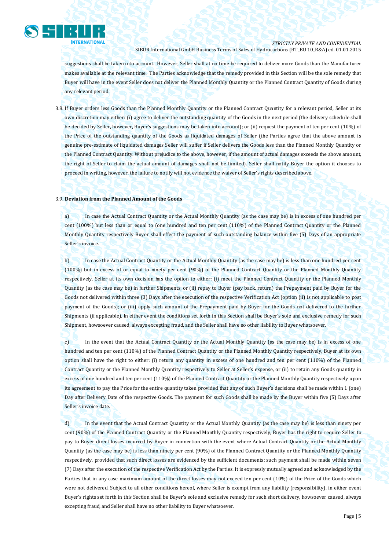

suggestions shall be taken into account. However, Seller shall at no time be required to deliver more Goods than the Manufacturer makes available at the relevant time. The Parties acknowledge that the remedy provided in this Section will be the sole remedy that Buyer will have in the event Seller does not deliver the Planned Monthly Quantity or the Planned Contract Quantity of Goods during any relevant period.

3.8. If Buyer orders less Goods than the Planned Monthly Quantity or the Planned Contract Quantity for a relevant period, Seller at its own discretion may either: (i) agree to deliver the outstanding quantity of the Goods in the next period (the delivery schedule shall be decided by Seller, however, Buyer's suggestions may be taken into account); or (ii) request the payment of ten per cent (10%) of the Price of the outstanding quantity of the Goods as liquidated damages of Seller (the Parties agree that the above amount is genuine pre-estimate of liquidated damages Seller will suffer if Seller delivers the Goods less than the Planned Monthly Quantity or the Planned Contract Quantity. Without prejudice to the above, however, if the amount of actual damages exceeds the above amount, the right of Seller to claim the actual amount of damages shall not be limited). Seller shall notify Buyer the option it chooses to proceed in writing, however, the failure to notify will not evidence the waiver of Seller's rights described above.

#### 3.9. **Deviation from the Planned Amount of the Goods**

a) In case the Actual Contract Quantity or the Actual Monthly Quantity (as the case may be) is in excess of one hundred per cent (100%) but less than or equal to (one hundred and ten per cent (110%) of the Planned Contract Quantity or the Planned Monthly Quantity respectively Buyer shall effect the payment of such outstanding balance within five (5) Days of an appropriate Seller's invoice.

b) In case the Actual Contract Quantity or the Actual Monthly Quantity (as the case may be) is less than one hundred per cent (100%) but in excess of or equal to ninety per cent (90%) of the Planned Contract Quantity or the Planned Monthly Quantity respectively, Seller at its own decision has the option to either: (i) meet the Planned Contract Quantity or the Planned Monthly Quantity (as the case may be) in further Shipments, or (ii) repay to Buyer (pay back, return) the Prepayment paid by Buyer for the Goods not delivered within three (3) Days after the execution of the respective Verification Act (option (ii) is not applicable to post payment of the Goods); or (iii) apply such amount of the Prepayment paid by Buyer for the Goods not delivered to the further Shipments (if applicable). In either event the conditions set forth in this Section shall be Buyer's sole and exclusive remedy for such Shipment, howsoever caused, always excepting fraud, and the Seller shall have no other liability to Buyer whatsoever.

c) In the event that the Actual Contract Quantity or the Actual Monthly Quantity (as the case may be) is in excess of one hundred and ten per cent (110%) of the Planned Contract Quantity or the Planned Monthly Quantity respectively, Buyer at its own option shall have the right to either: (i) return any quantity in excess of one hundred and ten per cent (110%) of the Planned Contract Quantity or the Planned Monthly Quantity respectively to Seller at Seller's expense, or (ii) to retain any Goods quantity in excess of one hundred and ten per cent (110%) of the Planned Contract Quantity or the Planned Monthly Quantity respectively upon its agreement to pay the Price for the entire quantity taken provided that any of such Buyer's decisions shall be made within 1 (one) Day after Delivery Date of the respective Goods. The payment for such Goods shall be made by the Buyer within five (5) Days after Seller's invoice date.

d) In the event that the Actual Contract Quantity or the Actual Monthly Quantity (as the case may be) is less than ninety per cent (90%) of the Planned Contract Quantity or the Planned Monthly Quantity respectively, Buyer has the right to require Seller to pay to Buyer direct losses incurred by Buyer in connection with the event where Actual Contract Quantity or the Actual Monthly Quantity (as the case may be) is less than ninety per cent (90%) of the Planned Contract Quantity or the Planned Monthly Quantity respectively, provided that such direct losses are evidenced by the sufficient documents; such payment shall be made within seven (7) Days after the execution of the respective Verification Act by the Parties. It is expressly mutually agreed and acknowledged by the Parties that in any case maximum amount of the direct losses may not exceed ten per cent (10%) of the Price of the Goods which were not delivered. Subject to all other conditions hereof, where Seller is exempt from any liability (responsibility), in either event Buyer's rights set forth in this Section shall be Buyer's sole and exclusive remedy for such short delivery, howsoever caused, always excepting fraud, and Seller shall have no other liability to Buyer whatsoever.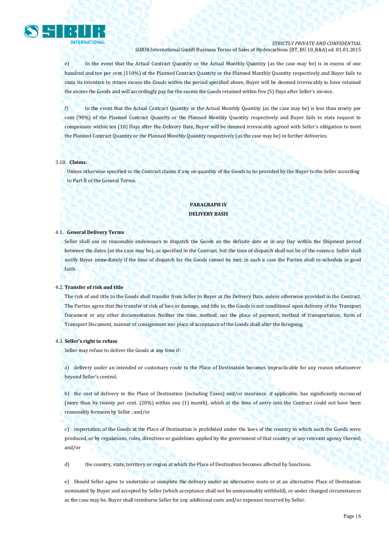

e) In the event that the Actual Contract Quantity or the Actual Monthly Quantity (as the case may be) is in excess of one hundred and ten per cent (110%) of the Planned Contract Quantity or the Planned Monthly Quantity respectively and Buyer fails to state its intention to return excess the Goods within the period specified above, Buyer will be deemed irrevocably to have retained the excess the Goods and will accordingly pay for the excess the Goods retained within five (5) Days after Seller's invoice.

f) In the event that the Actual Contract Quantity or the Actual Monthly Quantity (as the case may be) is less than ninety per cent (90%) of the Planned Contract Quantity or the Planned Monthly Quantity respectively and Buyer fails to state request to compensate within ten (10) Days after the Delivery Date, Buyer will be deemed irrevocably agreed with Seller's obligation to meet the Planned Contract Quantity or the Planned Monthly Quantity respectively (as the case may be) in further deliveries.

#### 3.10. **Claims.**

Unless otherwise specified in the Contract claims if any on quantity of the Goods to be provided by the Buyer to the Seller according to Part II of the General Terms.

# **PARAGRAPH IV DELIVERY BASIS**

#### 4.1. **General Delivery Terms**

Seller shall use its reasonable endeavours to dispatch the Goods on the definite date or in any Day within the Shipment period between the dates (as the case may be), as specified in the Contract, but the time of dispatch shall not be of the essence. Seller shall notify Buyer immediately if the time of dispatch for the Goods cannot be met; in such a case the Parties shall re-schedule in good faith.

#### 4.2. **Transfer of risk and title**

The risk of and title to the Goods shall transfer from Seller to Buyer at the Delivery Date, unless otherwise provided in the Contract. The Parties agree that the transfer of risk of loss or damage, and title to, the Goods is not conditional upon delivery of the Transport Document or any other documentation. Neither the time, method, nor the place of payment, method of transportation, form of Transport Document, manner of consignment nor place of acceptance of the Goods shall alter the foregoing.

#### 4.3. **Seller's right to refuse**

Seller may refuse to deliver the Goods at any time if:

a) delivery under an intended or customary route to the Place of Destination becomes impracticable for any reason whatsoever beyond Seller's control;

b) the cost of delivery to the Place of Destination (including Taxes) and/or insurance, if applicable, has significantly increased (more than by twenty per cent. (20%) within one (1) month), which at the time of entry into the Contract could not have been reasonably foreseen by Seller ; and/or

c) importation of the Goods at the Place of Destination is prohibited under the laws of the country in which such the Goods were produced, or by regulations, rules, directives or guidelines applied by the government of that country or any relevant agency thereof; and/or

d) the country, state, territory or region at which the Place of Destination becomes affected by Sanctions.

e) Should Seller agree to undertake or complete the delivery under an alternative route or at an alternative Place of Destination nominated by Buyer and accepted by Seller (which acceptance shall not be unreasonably withheld), or under changed circumstances as the case may be, Buyer shall reimburse Seller for any additional costs and/or expenses incurred by Seller.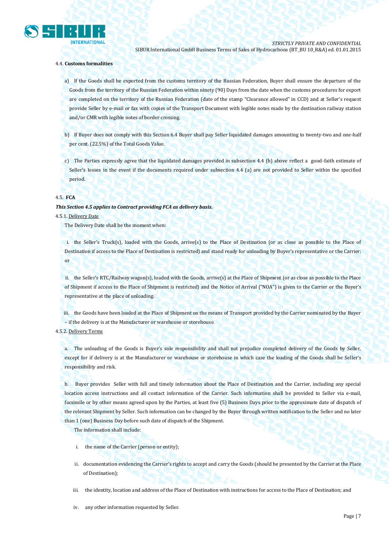

### 4.4. **Customs formalities**

a) If the Goods shall be exported from the customs territory of the Russian Federation, Buyer shall ensure the departure of the Goods from the territory of the Russian Federation within ninety (90) Days from the date when the customs procedures for export are completed on the territory of the Russian Federation (date of the stamp "Clearance allowed" in CCD) and at Seller's request provide Seller by e-mail or fax with copies of the Transport Document with legible notes made by the destination railway station and/or CMR with legible notes of border crossing.

b) If Buyer does not comply with this Section 6.4 Buyer shall pay Seller liquidated damages amounting to twenty-two and one-half per cent. (22.5%) of the Total Goods Value.

c) The Parties expressly agree that the liquidated damages provided in subsection 4.4 (b) above reflect a good-faith estimate of Seller's losses in the event if the documents required under subsection 4.4 (a) are not provided to Seller within the specified period.

#### 4.5. **FCA**

#### *This Section 4.5 applies to Contract providing FCA as delivery basis.*

#### 4.5.1. Delivery Date

The Delivery Date shall be the moment when:

i. the Seller's Truck(s), loaded with the Goods, arrive(s) to the Place of Destination (or as close as possible to the Place of Destination if access to the Place of Destination is restricted) and stand ready for unloading by Buyer's representative or the Carrier; or

ii. the Seller's RTC/Railway wagon(s), loaded with the Goods, arrive(s) at the Place of Shipment (or as close as possible to the Place of Shipment if access to the Place of Shipment is restricted) and the Notice of Arrival ("NOA") is given to the Carrier or the Buyer's representative at the place of unloading.

iii. the Goods have been loaded at the Place of Shipment on the means of Transport provided by the Carrier nominated by the Buyer – if the delivery is at the Manufacturer or warehouse or storehouse.

## 4.5.2. Delivery Terms

a. The unloading of the Goods is Buyer's sole responsibility and shall not prejudice completed delivery of the Goods by Seller, except for if delivery is at the Manufacturer or warehouse or storehouse in which case the loading of the Goods shall be Seller's responsibility and risk.

b. Buyer provides Seller with full and timely information about the Place of Destination and the Carrier, including any special location access instructions and all contact information of the Carrier. Such information shall be provided to Seller via e-mail, facsimile or by other means agreed upon by the Parties, at least five (5) Business Days prior to the approximate date of dispatch of the relevant Shipment by Seller. Such information can be changed by the Buyer through written notification to the Seller and no later than 1 (one) Business Day before such date of dispatch of the Shipment.

The information shall include:

- i. the name of the Carrier (person or entity);
- ii. documentation evidencing the Carrier's rights to accept and carry the Goods (should be presented by the Carrier at the Place of Destination);
- iii. the identity, location and address of the Place of Destination with instructions for access to the Place of Destination; and
- iv. any other information requested by Seller.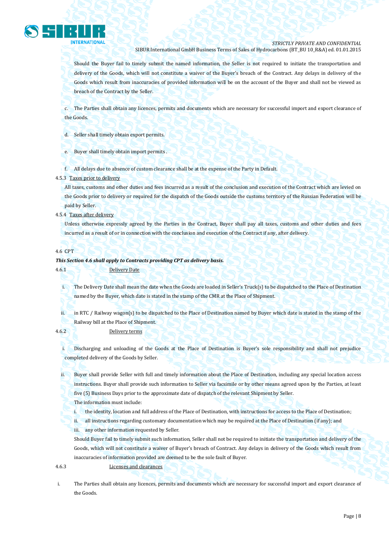

Should the Buyer fail to timely submit the named information, the Seller is not required to initiate the transportation and delivery of the Goods, which will not constitute a waiver of the Buyer's breach of the Contract. Any delays in delivery of the Goods which result from inaccuracies of provided information will be on the account of the Buyer and shall not be viewed as breach of the Contract by the Seller.

c. The Parties shall obtain any licences, permits and documents which are necessary for successful import and export clearance of the Goods.

d. Seller shall timely obtain export permits.

e. Buyer shall timely obtain import permits

f. All delays due to absence of custom clearance shall be at the expense of the Party in Default.

#### 4.5.3 Taxes prior to delivery

All taxes, customs and other duties and fees incurred as a result of the conclusion and execution of the Contract which are levied on the Goods prior to delivery or required for the dispatch of the Goods outside the customs territory of the Russian Federation will be paid by Seller.

4.5.4 Taxes after delivery

Unless otherwise expressly agreed by the Parties in the Contract, Buyer shall pay all taxes, customs and other duties and fees incurred as a result of or in connection with the conclusion and execution of the Contract if any, after delivery.

#### 4.6 CPT

#### *This Section 4.6 shall apply to Contracts providing CPT as delivery basis.*

4.6.1 Delivery Date

i. The Delivery Date shall mean the date when the Goods are loaded in Seller's Truck(s) to be dispatched to the Place of Destination named by the Buyer, which date is stated in the stamp of the CMR at the Place of Shipment.

ii. in RTC / Railway wagon(s) to be dispatched to the Place of Destination named by Buyer which date is stated in the stamp of the Railway bill at the Place of Shipment.

4.6.2 Delivery terms

i. Discharging and unloading of the Goods at the Place of Destination is Buyer's sole responsibility and shall not prejudice completed delivery of the Goods by Seller.

ii. Buyer shall provide Seller with full and timely information about the Place of Destination, including any special location access instructions. Buyer shall provide such information to Seller via facsimile or by other means agreed upon by the Parties, at least five (5) Business Days prior to the approximate date of dispatch of the relevant Shipment by Seller.

The information must include:

i. the identity, location and full address of the Place of Destination, with instructions for access to the Place of Destination;

ii. all instructions regarding customary documentation which may be required at the Place of Destination (if any); and

iii. any other information requested by Seller.

Should Buyer fail to timely submit such information, Seller shall not be required to initiate the transportation and delivery of the Goods, which will not constitute a waiver of Buyer's breach of Contract. Any delays in delivery of the Goods which result from inaccuracies of information provided are deemed to be the sole fault of Buyer.

4.6.3 Licenses and clearances

i. The Parties shall obtain any licences, permits and documents which are necessary for successful import and export clearance of the Goods.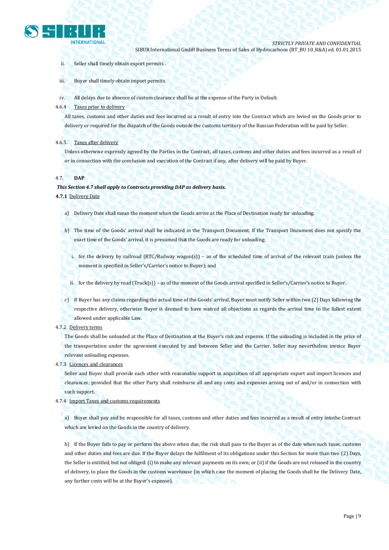

- ii. Seller shall timely obtain export permits .
- iii. Buyer shall timely obtain import permits.
- iv. All delays due to absence of custom clearance shall be at the expense of the Party in Default.
- 4.6.4 Taxes prior to delivery

All taxes, customs and other duties and fees incurred as a result of entry into the Contract which are levied on the Goods prior to delivery or required for the dispatch of the Goods outside the customs territory of the Russian Federation will be paid by Seller.

## 4.6.5. Taxes after delivery

Unless otherwise expressly agreed by the Parties in the Contract, all taxes, customs and other duties and fees incurred as a result of or in connection with the conclusion and execution of the Contract if any, after delivery will be paid by Buyer.

## 4.7. **DAP**

## *This Section 4.7 shall apply to Contracts providing DAP as delivery basis.*

**4.7.1** Delivery Date

- a) Delivery Date shall mean the moment when the Goods arrive at the Place of Destination ready for unloading.
- b) The time of the Goods' arrival shall be indicated in the Transport Document. If the Transport Document does not specify the exact time of the Goods' arrival, it is presumed that the Goods are ready for unloading:
	- i. for the delivery by railroad (RTC/Railway wagon(s)) as of the scheduled time of arrival of the relevant train (unless the moment is specified in Seller's/Carrier's notice to Buyer); and

ii. for the delivery by road (Truck(s)) – as of the moment of the Goods arrival specified in Seller's/Carrier's notice to Buyer.

- c) If Buyer has any claims regarding the actual time of the Goods' arrival, Buyer must notify Seller within two (2) Days following the respective delivery, otherwise Buyer is deemed to have waived all objections as regards the arrival time to the fullest extent allowed under applicable Law.
- 4.7.2 Delivery terms

The Goods shall be unloaded at the Place of Destination at the Buyer's risk and expense. If the unloading is included in the price of the transportation under the agreement executed by and between Seller and the Carrier, Seller may nevertheless invoice Buyer relevant unloading expenses.

4.7.3 Licences and clearances

Seller and Buyer shall provide each other with reasonable support in acquisition of all appropriate export and import licences and clearances; provided that the other Party shall reimburse all and any costs and expenses arising out of and/or in connection with such support.

4.7.4 Import Taxes and customs requirements

a) Buyer shall pay and be responsible for all taxes, customs and other duties and fees incurred as a result of entry intothe Contract which are levied on the Goods in the country of delivery.

b) If the Buyer fails to pay or perform the above when due, the risk shall pass to the Buyer as of the date when such taxes, customs and other duties and fees are due. If the Buyer delays the fulfilment of its obligations under this Section for more than two (2) Days, the Seller is entitled, but not obliged: (i) to make any relevant payments on its own; or (ii) if the Goods are not released in the country of delivery, to place the Goods in the customs warehouse (in which case the moment of placing the Goods shall be the Delivery Date, any further costs will be at the Buyer's expense).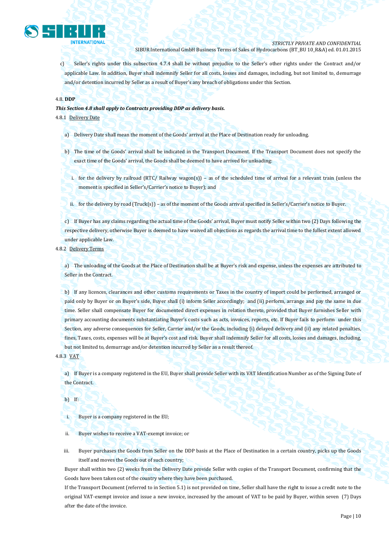

c) Seller's rights under this subsection 4.7.4 shall be without prejudice to the Seller's other rights under the Contract and/or applicable Law. In addition, Buyer shall indemnify Seller for all costs, losses and damages, including, but not limited to, demurrage and/or detention incurred by Seller as a result of Buyer's any breach of obligations under this Section.

## 4.8. **DDP**

*This Section 4.8 shall apply to Contracts providing DDP as delivery basis.*

4.8.1 Delivery Date

- a) Delivery Date shall mean the moment of the Goods' arrival at the Place of Destination ready for unloading.
- b) The time of the Goods' arrival shall be indicated in the Transport Document. If the Transport Document does not specify the exact time of the Goods' arrival, the Goods shall be deemed to have arrived for unloading:
	- i. for the delivery by railroad (RTC/ Railway wagon(s)) as of the scheduled time of arrival for a relevant train (unless the moment is specified in Seller's/Carrier's notice to Buyer); and
	- ii. for the delivery by road (Truck(s)) as of the moment of the Goods arrival specified in Seller's/Carrier's notice to Buyer.

c) If Buyer has any claims regarding the actual time of the Goods' arrival, Buyer must notify Seller within two (2) Days following the respective delivery, otherwise Buyer is deemed to have waived all objections as regards the arrival time to the fullest extent allowed under applicable Law.

4.8.2 Delivery Terms

a) The unloading of the Goods at the Place of Destination shall be at Buyer's risk and expense, unless the expenses are attributed to Seller in the Contract.

b) If any licences, clearances and other customs requirements or Taxes in the country of import could be performed, arranged or paid only by Buyer or on Buyer's side, Buyer shall (i) inform Seller accordingly; and (ii) perform, arrange and pay the same in due time. Seller shall compensate Buyer for documented direct expenses in relation thereto, provided that Buyer furnishes Seller with primary accounting documents substantiating Buyer's costs such as acts, invoices, reports, etc. If Buyer fails to perform under this Section, any adverse consequences for Seller, Carrier and/or the Goods, including (i) delayed delivery and (ii) any related penalties, fines, Taxes, costs, expenses will be at Buyer's cost and risk. Buyer shall indemnify Seller for all costs, losses and damages, including, but not limited to, demurrage and/or detention incurred by Seller as a result thereof.

4.8.3 VAT

a) If Buyer is a company registered in the EU, Buyer shall provide Seller with its VAT Identification Number as of the Signing Date of the Contract.

b) If:

i. Buyer is a company registered in the EU;

ii. Buyer wishes to receive a VAT-exempt invoice; or

iii. Buyer purchases the Goods from Seller on the DDP basis at the Place of Destination in a certain country, picks up the Goods itself and moves the Goods out of such country;

Buyer shall within two (2) weeks from the Delivery Date provide Seller with copies of the Transport Document, confirming that the Goods have been taken out of the country where they have been purchased.

If the Transport Document (referred to in Section 5.1) is not provided on time, Seller shall have the right to issue a credit note to the original VAT-exempt invoice and issue a new invoice, increased by the amount of VAT to be paid by Buyer, within seven (7) Days after the date of the invoice.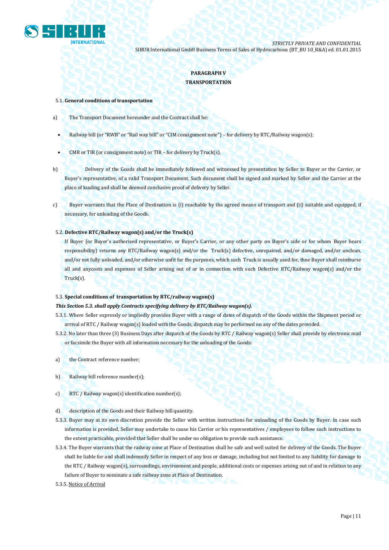

# **PARAGRAPH V TRANSPORTATION**

#### 5.1. **General conditions of transportation**

- a) The Transport Document hereunder and the Contract shall be:
	- Railway bill (or "RWB" or "Rail way bill" or "CIM consignment note") for delivery by RTC/Railway wagon(s);
	- CMR or TIR (or consignment note) or TIR for delivery by Truck(s).
- b) Delivery of the Goods shall be immediately followed and witnessed by presentation by Seller to Buyer or the Carrier, or Buyer's representative, of a valid Transport Document. Such document shall be signed and marked by Seller and the Carrier at the place of loading and shall be deemed conclusive proof of delivery by Seller.
- c) Buyer warrants that the Place of Destination is (i) reachable by the agreed means of transport and (ii) suitable and equipped, if necessary, for unloading of the Goods.

## 5.2. **Defective RTC/Railway wagon(s) and/or the Truck(s)**

If Buyer (or Buyer's authorised representative, or Buyer's Carrier, or any other party on Buyer's side or for whom Buyer bears responsibility) returns any RTC/Railway wagon(s) and/or the Truck(s) defective, unrepaired, and/or damaged, and/or unclean, and/or not fully unloaded, and/or otherwise unfit for the purposes, which such Truck is usually used for, thne Buyer shall reimburse all and anycosts and expenses of Seller arising out of or in connection with such Defective RTC/Railway wagon(s) and/or the Truck(s).

#### 5.3. **Special conditions of transportation by RTC/railway wagon(s)**

## *This Section 5.3. shall apply Contracts specifying delivery by RTC/Railway wagon(s).*

- 5.3.1. Where Seller expressly or impliedly provides Buyer with a range of dates of dispatch of the Goods within the Shipment period or arrival of RTC / Railway wagon(s) loaded with the Goods, dispatch may be performed on any of the dates provided.
- 5.3.2. No later than three (3) Business Days after dispatch of the Goods by RTC / Railway wagon(s) Seller shall provide by electronic mail or facsimile the Buyer with all information necessary for the unloading of the Goods:
- a) the Contract reference number;
- b) Railway bill reference number(s);
- c) RTC / Railway wagon(s) identification number(s);
- d) description of the Goods and their Railway bill quantity.
- 5.3.3. Buyer may at its own discretion provide the Seller with written instructions for unloading of the Goods by Buyer. In case such information is provided, Seller may undertake to cause his Carrier or his representatives / employees to follow such instructions to the extent practicable, provided that Seller shall be under no obligation to provide such assistance.
- 5.3.4. The Buyer warrants that the railway zone at Place of Destination shall be safe and well suited for delivery of the Goods. The Buyer shall be liable for and shall indemnify Seller in respect of any loss or damage, including but not limited to any liability for damage to the RTC / Railway wagon(s), surroundings, environment and people, additional costs or expenses arising out of and in relation to any failure of Buyer to nominate a safe railway zone at Place of Destination.
- 5.3.5. Notice of Arrival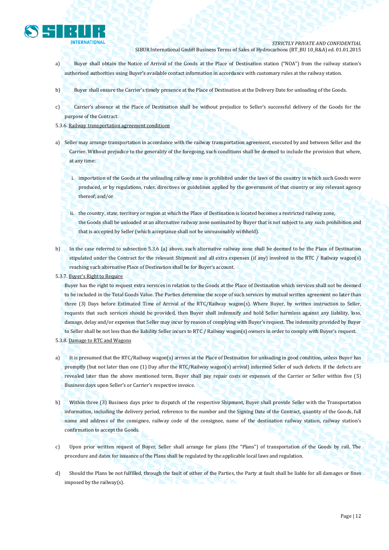

- a) Buyer shall obtain the Notice of Arrival of the Goods at the Place of Destination station ("NOA") from the railway station's authorised authorities using Buyer's available contact information in accordance with customary rules at the railway station.
- b) Buyer shall ensure the Carrier's timely presence at the Place of Destination at the Delivery Date for unloading of the Goods.
- c) Carrier's absence at the Place of Destination shall be without prejudice to Seller's successful delivery of the Goods for the purpose of the Contract.
- 5.3.6. Railway transportation agreement conditions
- a) Seller may arrange transportation in accordance with the railway transportation agreement, executed by and between Seller and the Carrier. Without prejudice to the generality of the foregoing, such conditions shall be deemed to include the provision that where, at any time:
	- i. importation of the Goods at the unloading railway zone is prohibited under the laws of the country in which such Goods were produced, or by regulations, rules, directives or guidelines applied by the government of that country or any relevant agency thereof; and/or
	- ii. the country, state, territory or region at which the Place of Destination is located becomes a restricted railway zone, the Goods shall be unloaded at an alternative railway zone nominated by Buyer that is not subject to any such prohibition and that is accepted by Seller (which acceptance shall not be unreasonably withheld).
- b) In the case referred to subsection 5.3.6 (a) above, such alternative railway zone shall be deemed to be the Place of Destination stipulated under the Contract for the relevant Shipment and all extra expenses (if any) involved in the RTC / Railway wagon(s) reaching such alternative Place of Destination shall be for Buyer's account.
- 5.3.7. Buyer's Right to Require

Buyer has the right to request extra services in relation to the Goods at the Place of Destination which services shall not be deemed to be included in the Total Goods Value. The Parties determine the scope of such services by mutual written agreement no later than three (3) Days before Estimated Time of Arrival of the RTC/Railway wagon(s). Where Buyer, by written instruction to Seller, requests that such services should be provided, then Buyer shall indemnify and hold Seller harmless against any liability, loss, damage, delay and/or expenses that Seller may incur by reason of complying with Buyer's request. The indemnity provided by Buyer to Seller shall be not less than the liability Seller incurs to RTC / Railway wagon(s) owners in order to comply with Buyer's request.

- 5.3.8. Damage to RTC and Wagons
- a) It is presumed that the RTC/Railway wagon(s) arrives at the Place of Destination for unloading in good condition, unless Buyer has promptly (but not later than one (1) Day after the RTC/Railway wagon(s) arrival) informed Seller of such defects. If the defects are revealed later than the above mentioned term, Buyer shall pay repair costs or expenses of the Carrier or Seller within five (5) Business days upon Seller's or Carrier's respective invoice.
- b) Within three (3) Business days prior to dispatch of the respective Shipment, Buyer shall provide Seller with the Transportation information, including the delivery period, reference to the number and the Signing Date of the Contract, quantity of the Goods, full name and address of the consignee, railway code of the consignee, name of the destination railway station, railway station's confirmation to accept the Goods.
- c) Upon prior written request of Buyer, Seller shall arrange for plans (the "Plans") of transportation of the Goods by rail. The procedure and dates for issuance of the Plans shall be regulated by the applicable local laws and regulation.
- d) Should the Plans be not fulfilled, through the fault of either of the Parties, the Party at fault shall be liable for all damages or fines imposed by the railway(s).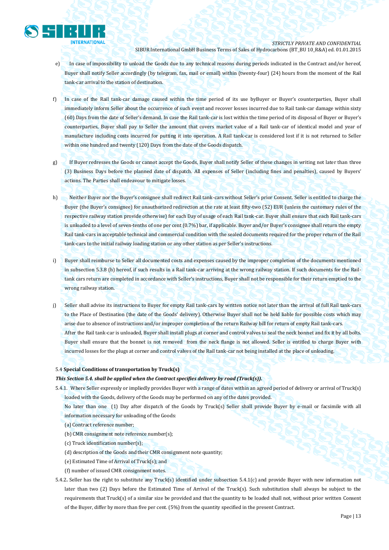

- e) In case of impossibility to unload the Goods due to any technical reasons during periods indicated in the Contract and/or hereof, Buyer shall notify Seller accordingly (by telegram, fax, mail or email) within (twenty-four) (24) hours from the moment of the Rail tank-car arrival to the station of destination.
- f) In case of the Rail tank-car damage caused within the time period of its use byBuyer or Buyer's counterparties, Buyer shall immediately inform Seller about the occurrence of such event and recover losses incurred due to Rail tank-car damage within sixty (60) Days from the date of Seller's demand. In case the Rail tank-car is lost within the time period of its disposal of Buyer or Buyer's counterparties, Buyer shall pay to Seller the amount that covers market value of a Rail tank-car of identical model and year of manufacture including costs incurred for putting it into operation. A Rail tank-car is considered lost if it is not returned to Seller within one hundred and twenty (120) Days from the date of the Goods dispatch.
- g) If Buyer redresses the Goods or cannot accept the Goods, Buyer shall notify Seller of these changes in writing not later than three (3) Business Days before the planned date of dispatch. All expenses of Seller (including fines and penalties), caused by Buyers' actions. The Parties shall endeavour to mitigate losses.
- h) Neither Buyer nor the Buyer's consignee shall redirect Rail tank-cars without Seller's prior Consent. Seller is entitled to charge the Buyer (the Buyer's consignee) for unauthorized redirection at the rate at least fifty-two (52) EUR (unless the customary rules of the respective railway station provide otherwise) for each Day of usage of each Rail tank-car. Buyer shall ensure that each Rail tank-cars is unloaded to a level of seven-tenths of one per cent (0.7%) bar, if applicable. Buyer and/or Buyer's consignee shall return the empty Rail tank-cars in acceptable technical and commercial condition with the sealed documents required for the proper return of the Rail tank-cars to the initial railway loading station or any other station as per Seller's instructions.
- i) Buyer shall reimburse to Seller all documented costs and expenses caused by the improper completion of the documents mentioned in subsection 5.3.8 (h) hereof, if such results in a Rail tank-car arriving at the wrong railway station. If such documents for the Railtank cars return are completed in accordance with Seller's instructions, Buyer shall not be responsible for their return emptied to the wrong railway station.
- j) Seller shall advise its instructions to Buyer for empty Rail tank-cars by written notice not later than the arrival of full Rail tank-cars to the Place of Destination (the date of the Goods' delivery). Otherwise Buyer shall not be held liable for possible costs which may arise due to absence of instructions and/or improper completion of the return Railway bill for return of empty Rail tank-cars. After the Rail tank-car is unloaded, Buyer shall install plugs at corner and control valves to seal the neck bonnet and fix it by all bolts. Buyer shall ensure that the bonnet is not removed from the neck flange is not allowed. Seller is entitled to charge Buyer with incurred losses for the plugs at corner and control valves of the Rail tank-car not being installed at the place of unloading.

## 5.4 **Special Conditions of transportation by Truck(s)**

## *This Section 5.4. shall be applied when the Contract specifies delivery by road (Truck(s)).*

5.4.1. Where Seller expressly or impliedly provides Buyer with a range of dates within an agreed period of delivery or arrival of Truck(s) loaded with the Goods, delivery of the Goods may be performed on any of the dates provided.

No later than one (1) Day after dispatch of the Goods by Truck(s) Seller shall provide Buyer by e-mail or facsimile with all information necessary for unloading of the Goods:

- (a) Contract reference number;
- (b) CMR consignment note reference number(s);
- (c) Truck identification number(s);
- (d) description of the Goods and their CMR consignment note quantity;
- (e) Estimated Time of Arrival of Truck(s); and
- (f) number of issued CMR consignment notes.
- 5.4.2**.** Seller has the right to substitute any Truck(s) identified under subsection 5.4.1(c) and provide Buyer with new information not later than two (2) Days before the Estimated Time of Arrival of the Truck(s). Such substitution shall always be subject to the requirements that Truck(s) of a similar size be provided and that the quantity to be loaded shall not, without prior written Consent of the Buyer, differ by more than five per cent. (5%) from the quantity specified in the present Contract.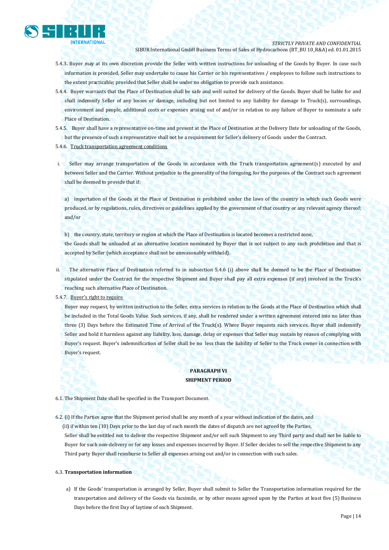

- 5.4.3**.** Buyer may at its own discretion provide the Seller with written instructions for unloading of the Goods by Buyer. In case such information is provided, Seller may undertake to cause his Carrier or his representatives / employees to follow such instructions to the extent practicable; provided that Seller shall be under no obligation to provide such assistance.
- 5.4.4. Buyer warrants that the Place of Destination shall be safe and well suited for delivery of the Goods. Buyer shall be liable for and shall indemnify Seller of any losses or damage, including but not limited to any liability for damage to Truck(s), surroundings, environment and people, additional costs or expenses arising out of and/or in relation to any failure of Buyer to nominate a safe Place of Destination.
- 5.4.5. Buyer shall have a representative on-time and present at the Place of Destination at the Delivery Date for unloading of the Goods, but the presence of such a representative shall not be a requirement for Seller's delivery of Goods under the Contract.

#### 5.4.6. Truck transportation agreement conditions

i. Seller may arrange transportation of the Goods in accordance with the Truck transportation agreement(s) executed by and between Seller and the Carrier. Without prejudice to the generality of the foregoing, for the purposes of the Contract such agreement shall be deemed to provide that if:

a) importation of the Goods at the Place of Destination is prohibited under the laws of the country in which such Goods were produced, or by regulations, rules, directives or guidelines applied by the government of that country or any relevant agency thereof; and/or

b) the country, state, territory or region at which the Place of Destination is located becomes a restricted zone,

the Goods shall be unloaded at an alternative location nominated by Buyer that is not subject to any such prohibition and that is accepted by Seller (which acceptance shall not be unreasonably withheld).

ii. The alternative Place of Destination referred to in subsection 5.4.6 (i) above shall be deemed to be the Place of Destination stipulated under the Contract for the respective Shipment and Buyer shall pay all extra expenses (if any) involved in the Truck's reaching such alternative Place of Destination.

5.4.7. Buyer's right to require

Buyer may request, by written instruction to the Seller, extra services in relation to the Goods at the Place of Destination which shall be included in the Total Goods Value. Such services, if any, shall be rendered under a written agreement entered into no later than three (3) Days before the Estimated Time of Arrival of the Truck(s). Where Buyer requests such services. Buyer shall indemnify Seller and hold it harmless against any liability, loss, damage, delay or expenses that Seller may sustain by reason of complying with Buyer's request. Buyer's indemnification of Seller shall be no less than the liability of Seller to the Truck owner in connection with Buyer's request.

# **PARAGRAPH VI SHIPMENT PERIOD**

6.1. The Shipment Date shall be specified in the Transport Document.

6.2. (i) If the Parties agree that the Shipment period shall be any month of a year without indication of the dates, and (ii) if within ten (10) Days prior to the last day of such month the dates of dispatch are not agreed by the Parties, Seller shall be entitled not to deliver the respective Shipment and/or sell such Shipment to any Third party and shall not be liable to Buyer for such non-delivery or for any losses and expenses incurred by Buyer. If Seller decides to sell the respective Shipment to any Third party Buyer shall reimburse to Seller all expenses arising out and/or in connection with such sales.

#### 6.3. **Transportation information**

a) If the Goods' transportation is arranged by Seller, Buyer shall submit to Seller the Transportation information required for the transportation and delivery of the Goods via facsimile, or by other means agreed upon by the Parties at least five (5) Business Days before the first Day of laytime of each Shipment.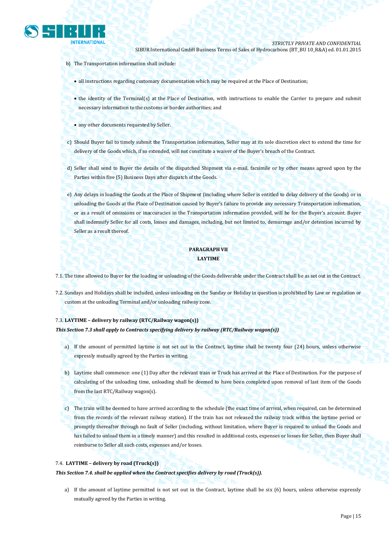

- b) The Transportation information shall include:
	- all instructions regarding customary documentation which may be required at the Place of Destination;
	- the identity of the Terminal(s) at the Place of Destination, with instructions to enable the Carrier to prepare and submit necessary information to the customs or border authorities; and
	- any other documents requested by Seller.
- c) Should Buyer fail to timely submit the Transportation information, Seller may at its sole discretion elect to extend the time for delivery of the Goods which, if so extended, will not constitute a waiver of the Buyer's breach of the Contract.
- d) Seller shall send to Buyer the details of the dispatched Shipment via e-mail, facsimile or by other means agreed upon by the Parties within five (5) Business Days after dispatch of the Goods.
- e) Any delays in loading the Goods at the Place of Shipment (including where Seller is entitled to delay delivery of the Goods) or in unloading the Goods at the Place of Destination caused by Buyer's failure to provide any necessary Transportation information, or as a result of omissions or inaccuracies in the Transportation information provided, will be for the Buyer's account. Buyer shall indemnify Seller for all costs, losses and damages, including, but not limited to, demurrage and/or detention incurred by Seller as a result thereof.

# **PARAGRAPH VII LAYTIME**

- 7.1. The time allowed to Buyer for the loading or unloading of the Goods deliverable under the Contract shall be as set out in the Contract.
- 7.2. Sundays and Holidays shall be included, unless unloading on the Sunday or Holiday in question is prohibited by Law or regulation or custom at the unloading Terminal and/or unloading railway zone.

## 7.3. **LAYTIME – delivery by railway (RTC/Railway wagon(s))**

#### *This Section 7.3 shall apply to Contracts specifying delivery by railway (RTC/Railway wagon(s))*

- a) If the amount of permitted laytime is not set out in the Contract, laytime shall be twenty four (24) hours, unless otherwise expressly mutually agreed by the Parties in writing.
- b) Laytime shall commence: one (1) Day after the relevant train or Truck has arrived at the Place of Destination. For the purpose of calculating of the unloading time, unloading shall be deemed to have been completed upon removal of last item of the Goods from the last RTC/Railway wagon(s).
- c) The train will be deemed to have arrived according to the schedule (the exact time of arrival, when required, can be determined from the records of the relevant railway station). If the train has not released the railway track within the laytime period or promptly thereafter through no fault of Seller (including, without limitation, where Buyer is required to unload the Goods and has failed to unload them in a timely manner) and this resulted in additional costs, expenses or losses for Seller, then Buyer shall reimburse to Seller all such costs, expenses and/or losses.

#### 7.4. **LAYTIME – delivery by road (Truck(s))**

*This Section 7.4. shall be applied when the Contract specifies delivery by road (Truck(s)).*

a) If the amount of laytime permitted is not set out in the Contract, laytime shall be six (6) hours, unless otherwise expressly mutually agreed by the Parties in writing.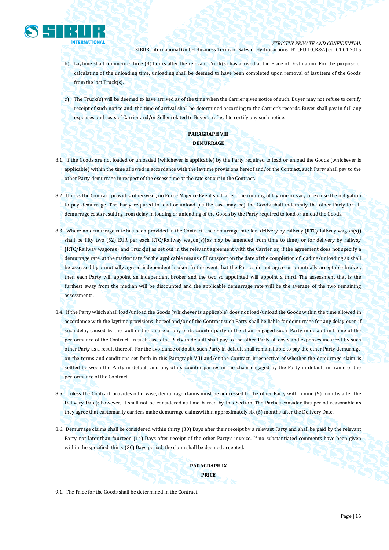

- b) Laytime shall commence three (3) hours after the relevant Truck(s) has arrived at the Place of Destination. For the purpose of calculating of the unloading time, unloading shall be deemed to have been completed upon removal of last item of the Goods from the last Truck(s).
- c) The Truck(s) will be deemed to have arrived as of the time when the Carrier gives notice of such. Buyer may not refuse to certify receipt of such notice and the time of arrival shall be determined according to the Carrier's records. Buyer shall pay in full any expenses and costs of Carrier and/or Seller related to Buyer's refusal to certify any such notice.

# **PARAGRAPH VIII DEMURRAGE**

- 8.1. If the Goods are not loaded or unloaded (whichever is applicable) by the Party required to load or unload the Goods (whichever is applicable) within the time allowed in accordance with the laytime provisions hereof and/or the Contract, such Party shall pay to the other Party demurrage in respect of the excess time at the rate set out in the Contract.
- 8.2. Unless the Contract provides otherwise , no Force Majeure Event shall affect the running of laytime or vary or excuse the obligation to pay demurrage. The Party required to load or unload (as the case may be) the Goods shall indemnify the other Party for all demurrage costs resulting from delay in loading or unloading of the Goods by the Party required to load or unload the Goods.
- 8.3. Where no demurrage rate has been provided in the Contract, the demurrage rate for delivery by railway (RTC/Railway wagon(s)) shall be fifty two (52) EUR per each RTC/Railway wagon(s)(as may be amended from time to time) or for delivery by railway (RTC/Railway wagon(s) and Truck(s) as set out in the relevant agreement with the Carrier or, if the agreement does not specify a demurrage rate, at the market rate for the applicable means of Transport on the date of the completion of loading/unloading as shall be assessed by a mutually agreed independent broker. In the event that the Parties do not agree on a mutually acceptable broker, then each Party will appoint an independent broker and the two so appointed will appoint a third. The assessment that is the furthest away from the median will be discounted and the applicable demurrage rate will be the average of the two remaining assessments.
- 8.4. If the Party which shall load/unload the Goods (whichever is applicable) does not load/unload the Goods within the time allowed in accordance with the laytime provisions hereof and/or of the Contract such Party shall be liable for demurrage for any delay even if such delay caused by the fault or the failure of any of its counter party in the chain engaged such Party in default in frame of the performance of the Contract. In such cases the Party in default shall pay to the other Party all costs and expenses incurred by such other Party as a result thereof. For the avoidance of doubt, such Party in default shall remain liable to pay the other Party demurrage on the terms and conditions set forth in this Paragraph VIII and/or the Contract, irrespective of whether the demurrage claim is settled between the Party in default and any of its counter parties in the chain engaged by the Party in default in frame of the performance of the Contract.
- 8.5. Unless the Contract provides otherwise, demurrage claims must be addressed to the other Party within nine (9) months after the Delivery Date); however, it shall not be considered as time-barred by this Section. The Parties consider this period reasonable as they agree that customarily carriers make demurrage claimswithin approximately six (6) months after the Delivery Date.
- 8.6. Demurrage claims shall be considered within thirty (30) Days after their receipt by a relevant Party and shall be paid by the relevant Party not later than fourteen (14) Days after receipt of the other Party's invoice. If no substantiated comments have been given within the specified thirty (30) Days period, the claim shall be deemed accepted.

**PARAGRAPH IX PRICE**

9.1. The Price for the Goods shall be determined in the Contract.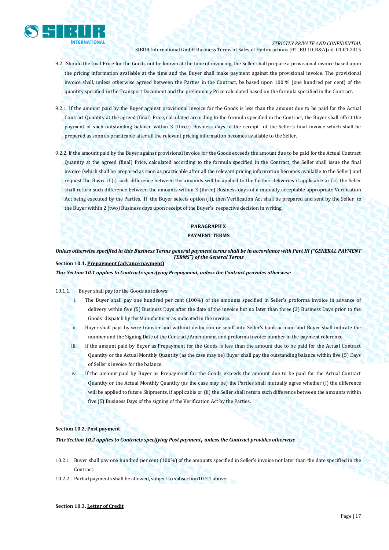

# *STRICTLY PRIVATE AND CONFIDENTIAL*

SIBUR International GmbH Business Terms of Sales of Hydrocarbons (BT\_BU 10\_R&A) ed. 01.01.2015

- 9.2. Should the final Price for the Goods not be known at the time of invoicing, the Seller shall prepare a provisional invoice based upon the pricing information available at the time and the Buyer shall make payment against the provisional invoice. The provisional invoice shall, unless otherwise agreed between the Parties in the Contract, be based upon 100 % (one hundred per cent) of the quantity specified in the Transport Document and the preliminary Price calculated based on the formula specified in the Contract.
- 9.2.1. If the amount paid by the Buyer against provisional invoice for the Goods is less than the amount due to be paid for the Actual Contract Quantity at the agreed (final) Price, calculated according to the formula specified in the Contract, the Buyer shall effect the payment of such outstanding balance within 3 (three) Business days of the receipt of the Seller's final invoice which shall be prepared as soon as practicable after all the relevant pricing information becomes available to the Seller.
- 9.2.2. If the amount paid by the Buyer against provisional invoice for the Goods exceeds the amount due to be paid for the Actual Contract Quantity at the agreed (final) Price, calculated according to the formula specified in the Contract, the Seller shall issue the final invoice (which shall be prepared as soon as practicable after all the relevant pricing information becomes available to the Seller) and request the Buyer if (i) such difference between the amounts will be applied to the further deliveries if applicable or (ii) the Seller shall return such difference between the amounts within 3 (three) Business days of a mutually acceptable appropriate Verification Act being executed by the Parties. If the Buyer selects option (ii), then Verification Act shall be prepared and sent by the Seller to the Buyer within 2 (two) Business days upon receipt of the Buyer's respective decision in writing.

# **PARAGRAPH X**

# **PAYMENT TERMS**

Unless otherwise specified in this Business Terms general payment terms shall be in accordance with Part III ("GENERAL PAYMENT *TERMS") of the General Terms* **Section 10.1. Prepayment (advance payment)**

*This Section 10.1 applies to Contracts specifying Prepayment, unless the Contract provides otherwise*

## 10.1.1. Buyer shall pay for the Goods as follows:

- i. The Buyer shall pay one hundred per cent (100%) of the amounts specified in Seller's proforma invoice in advance of delivery within five (5) Business Days after the date of the invoice but no later than three (3) Business Days prior to the Goods' dispatch by the Manufacturer as indicated in the invoice.
- ii. Buyer shall payt by wire transfer and without deduction or setoff into Seller's bank account and Buyer shall indicate the number and the Signing Date of the Contract/Amendment and proforma invoice number in the payment reference .
- iii. If the amount paid by Buyer as Prepayment for the Goods is less than the amount due to be paid for the Actual Contract Quantity or the Actual Monthly Quantity (as the case may be) Buyer shall pay the outstanding balance within five (5) Days of Seller's invoice for the balance.
- iv. If the amount paid by Buyer as Prepayment for the Goods exceeds the amount due to be paid for the Actual Contract Quantity or the Actual Monthly Quantity (as the case may be) the Parties shall mutually agree whether (i) the difference will be applied to future Shipments, if applicable or (ii) the Seller shall return such difference between the amounts within five (5) Business Days of the signing of the Verification Act by the Parties.

## **Section 10.2. Post payment**

*This Section 10.2 applies to Contracts specifying Post payment***,** *unless the Contract provides otherwise*

- 10.2.1 Buyer shall pay one hundred per cent (100%) of the amounts specified in Seller's invoice not later than the date specified in the Contract.
- 10.2.2 Partial payments shall be allowed, subject to subsection10.2.1 above.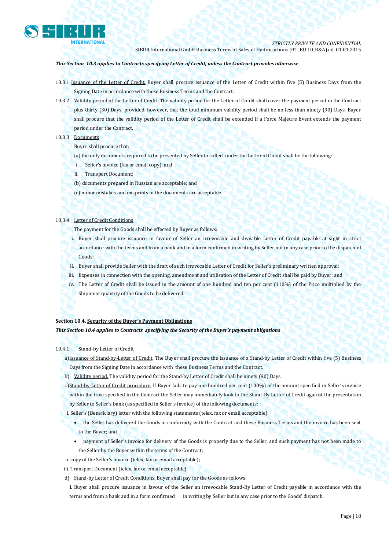

## *This Section 10.3 applies to Contracts specifying Letter of Credit, unless the Contract provides otherwise*

- 10.3.1 Issuance of the Letter of Credit. Buyer shall procure issuance of the Letter of Credit within five (5) Business Days from the Signing Date in accordance with these Business Terms and the Contract.
- 10.3.2 Validity period of the Letter of Credit. The validity period for the Letter of Credit shall cover the payment period in the Contract plus thirty (30) Days, provided, however, that the total minimum validity period shall be no less than ninety (90) Days. Buyer shall procure that the validity period of the Letter of Credit shall be extended if a Force Majeure Event extends the payment period under the Contract.

## 10.3.3 Documents

- Buyer shall procure that:
- (a) the only documents required to be presented by Seller to collect under the Letter of Credit shall be the following:
- i. Seller's invoice (fax or email copy); and
- ii. Transport Document;
- (b) documents prepared in Russian are acceptable; and
- (c) minor mistakes and misprints in the documents are acceptable.

## 10,3.4 Letter of Credit Conditions

The payment for the Goods shall be effected by Buyer as follows:

- i. Buyer shall procure issuance in favour of Seller an irrevocable and divisible Letter of Credit payable at sight in strict accordance with the terms and from a bank and in a form confirmed in writing by Seller but in any case prior to the dispatch of Goods;
- ii. Buyer shall provide Seller with the draft of such irrevocable Letter of Credit for Seller's preliminary written approval;
- iii. Expenses in connection with the opening, amendment and utilisation of the Letter of Credit shall be paid by Buyer; and
- iv. The Letter of Credit shall be issued in the amount of one hundred and ten per cent (110%) of the Price multiplied by the Shipment quantity of the Goods to be delivered.

# **Section 10.4. Security of the Buyer's Payment Obligations**

*This Section 10.4 applies to Contracts specifying the Security of the Buyer's payment obligations*

## 10.4.1 Stand-by Letter of Credit

a)Issuance of Stand-by-Letter of Credit. The Buyer shall procure the issuance of a Stand-by Letter of Credit within five (5) Business Days from the Signing Date in accordance with these Business Terms and the Contract.

b) Validity period. The validity period for the Stand-by Letter of Credit shall be ninety (90) Days.

c)Stand-by-Letter of Credit procedure. If Buyer fails to pay one hundred per cent (100%) of the amount specified in Seller's invoice

- within the time specified in the Contract the Seller may immediately look to the Stand-By Letter of Credit against the presentation by Seller to Seller's bank (as specified in Seller's invoice) of the following documents:
- i. Seller's (Beneficiary) letter with the following statements (telex, fax or email acceptable):
	- the Seller has delivered the Goods in conformity with the Contract and these Business Terms and the invoice has been sent to the Buyer; and
	- payment of Seller's invoice for delivery of the Goods is properly due to the Seller, and such payment has not been made to the Seller by the Buyer within the terms of the Contract;
- ii. copy of the Seller's invoice (telex, fax or email acceptable);
- iii. Transport Document (telex, fax or email acceptable).
- d) Stand-by Letter of Credit Conditions. Buyer shall pay for the Goods as follows:

**i.** Buyer shall procure issuance in favour of the Seller an irrevocable Stand-By Letter of Credit payable in accordance with the terms and from a bank and in a form confirmed in writing by Seller but in any case prior to the Goods' dispatch.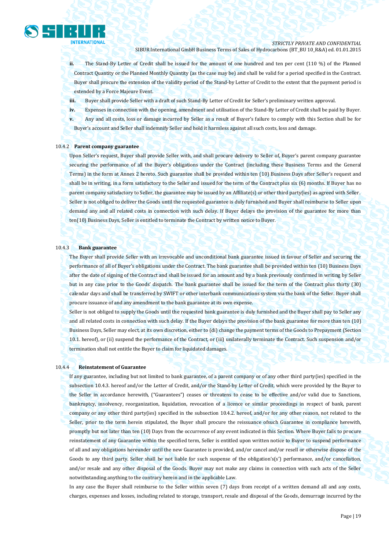*STRICTLY PRIVATE AND CONFIDENTIAL*

SIBUR International GmbH Business Terms of Sales of Hydrocarbons (BT\_BU 10\_R&A) ed. 01.01.2015

**ii.** The Stand-By Letter of Credit shall be issued for the amount of one hundred and ten per cent (110 %) of the Planned Contract Quantity or the Planned Monthly Quantity (as the case may be) and shall be valid for a period specified in the Contract. Buyer shall procure the extension of the validity period of the Stand-by Letter of Credit to the extent that the payment period is extended by a Force Majeure Event.

**iii.** Buyer shall provide Seller with a draft of such Stand-By Letter of Credit for Seller's preliminary written approval.

**iv.** Expenses in connection with the opening, amendment and utilisation of the Stand-By Letter of Credit shall be paid by Buyer.

**v.** Any and all costs, loss or damage incurred by Seller as a result of Buyer's failure to comply with this Section shall be for Buyer's account and Seller shall indemnify Seller and hold it harmless against all such costs, loss and damage.

# 10.4.2 **Parent company guarantee**

Upon Seller's request, Buyer shall provide Seller with, and shall procure delivery to Seller of, Buyer's parent company guarantee securing the performance of all the Buyer's obligations under the Contract (including these Business Terms and the General Terms) in the form at Annex 2 hereto. Such guarantee shall be provided within ten (10) Business Days after Seller's request and shall be in writing, in a form satisfactory to the Seller and issued for the term of the Contract plus six (6) months. If Buyer has no parent company satisfactory to Seller, the guarantee may be issued by an Affiliate(s) or other third party(ies) as agreed with Seller. Seller is not obliged to deliver the Goods until the requested guarantee is duly furnished and Buyer shall reimburse to Seller upon demand any and all related costs in connection with such delay. If Buyer delays the provision of the guarantee for more than ten(10) Business Days, Seller is entitled to terminate the Contract by written notice to Buyer.

#### 10.4.3 **Bank guarantee**

The Buyer shall provide Seller with an irrevocable and unconditional bank guarantee issued in favour of Seller and securing the performance of all of Buyer's obligations under the Contract. The bank guarantee shall be provided within ten (10) Business Days after the date of signing of the Contract and shall be issued for an amount and by a bank previously confirmed in writing by Seller but in any case prior to the Goods' dispatch. The bank guarantee shall be issued for the term of the Contract plus thirty (30) calendar days and shall be transferred by SWIFT or other interbank communications system via the bank of the Seller. Buyer shall procure issuance of and any amendment to the bank guarantee at its own expense.

Seller is not obliged to supply the Goods until the requested bank guarantee is duly furnished and the Buyer shall pay to Seller any and all related costs in connection with such delay. If the Buyer delays the provision of the bank guarantee for more than ten (10) Business Days, Seller may elect, at its own discretion, either to (di) change the payment terms of the Goods to Prepayment (Section 10.1. hereof), or (ii) suspend the performance of the Contract, or (iii) unilaterally terminate the Contract. Such suspension and/or termination shall not entitle the Buyer to claim for liquidated damages.

#### 10.4.4 **Reinstatement of Guarantee**

If any guarantee, including but not limited to bank guarantee, of a parent company or of any other third party(ies) specified in the subsection 10.4.3. hereof and/or the Letter of Credit, and/or the Stand-by Letter of Credit, which were provided by the Buyer to the Seller in accordance herewith, ("Guarantees") ceases or threatens to cease to be effective and/or valid due to Sanctions, bankruptcy, insolvency, reorganization, liquidation, revocation of a licence or similar proceedings in respect of bank, parent company or any other third party(ies) specified in the subsection 10.4.2. hereof, and/or for any other reason, not related to the Seller, prior to the term herein stipulated, the Buyer shall procure the reissuance ofsuch Guarantee in compliance herewith, promptly but not later than ten (10) Days from the occurrence of any event indicated in this Section. Where Buyer fails to procure reinstatement of any Guarantee within the specified term, Seller is entitled upon written notice to Buyer to suspend performance of all and any obligations hereunder until the new Guarantee is provided, and/or cancel and/or resell or otherwise dispose of the Goods to any third party. Seller shall be not liable for such suspense of the obligation's(s') performance, and/or cancellation, and/or resale and any other disposal of the Goods. Buyer may not make any claims in connection with such acts of the Seller notwithstanding anything to the contrary herein and in the applicable Law.

In any case the Buyer shall reimburse to the Seller within seven (7) days from receipt of a written demand all and any costs, charges, expenses and losses, including related to storage, transport, resale and disposal of the Goods, demurrage incurred by the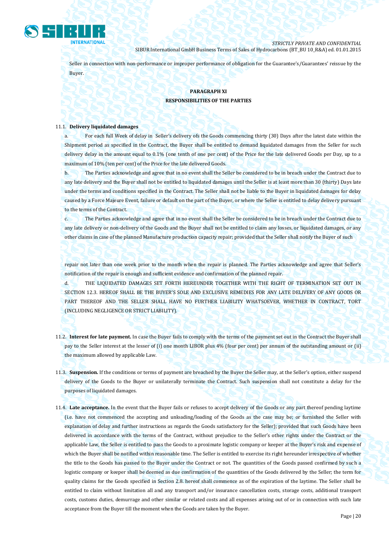

Seller in connection with non-performance or improper performance of obligation for the Guarantee's/Guarantees' reissue by the Buyer.

# **PARAGRAPH XI RESPONSIBILITIES OF THE PARTIES**

#### 11.1. **Delivery liquidated damages**

a. For each full Week of delay in Seller's delivery ofs the Goods commencing thirty (30) Days after the latest date within the Shipment period as specified in the Contract, the Buyer shall be entitled to demand liquidated damages from the Seller for such delivery delay in the amount equal to 0.1% (one tenth of one per cent) of the Price for the late delivered Goods per Day, up to a maximum of 10% (ten per cent) of the Price for the late delivered Goods.

b. The Parties acknowledge and agree that in no event shall the Seller be considered to be in breach under the Contract due to any late delivery and the Buyer shall not be entitled to liquidated damages until the Seller is at least more than 30 (thirty) Days late under the terms and conditions specified in the Contract. The Seller shall not be liable to the Buyer in liquidated damages for delay caused by a Force Majeure Event, failure or default on the part of the Buyer, or where the Seller is entitled to delay delivery pursuant to the terms of the Contract.

c. The Parties acknowledge and agree that in no event shall the Seller be considered to be in breach under the Contract due to any late delivery or non-delivery of the Goods and the Buyer shall not be entitled to claim any losses, or liquidated damages, or any other claims in case of the planned Manufacture production capacity repair; provided that the Seller shall notify the Buyer of such

repair not later than one week prior to the month when the repair is planned. The Parties acknowledge and agree that Seller's notification of the repair is enough and sufficient evidence and confirmation of the planned repair.

d. THE LIQUIDATED DAMAGES SET FORTH HEREUNDER TOGETHER WITH THE RIGHT OF TERMINATION SET OUT IN SECTION 12.3. HEREOF SHALL BE THE BUYER'S SOLE AND EXCLUSIVE REMEDIES FOR ANY LATE DELIVERY OF ANY GOODS OR PART THEREOF AND THE SELLER SHALL HAVE NO FURTHER LIABILITY WHATSOEVER, WHETHER IN CONTRACT, TORT (INCLUDING NEGLIGENCE OR STRICT LIABILITY).

- 11.2. **Interest for late payment.** In case the Buyer fails to comply with the terms of the payment set out in the Contract the Buyer shall pay to the Seller interest at the lesser of (i) one month LIBOR plus 4% (four per cent) per annum of the outstanding amount or (ii) the maximum allowed by applicable Law.
- 11.3. **Suspension.** If the conditions or terms of payment are breached by the Buyer the Seller may, at the Seller's option, either suspend delivery of the Goods to the Buyer or unilaterally terminate the Contract. Such suspension shall not constitute a delay for the purposes of liquidated damages.
- 11.4. **Late acceptance.** In the event that the Buyer fails or refuses to accept delivery of the Goods or any part thereof pending laytime (i.e. have not commenced the accepting and unloading/loading of the Goods as the case may be; or furnished the Seller with explanation of delay and further instructions as regards the Goods satisfactory for the Seller); provided that such Goods have been delivered in accordance with the terms of the Contract, without prejudice to the Seller's other rights under the Contract or the applicable Law, the Seller is entitled to pass the Goods to a proximate logistic company or keeper at the Buyer's risk and expense of which the Buyer shall be notified within reasonable time. The Seller is entitled to exercise its right hereunder irrespective of whether the title to the Goods has passed to the Buyer under the Contract or not. The quantities of the Goods passed confirmed by such a logistic company or keeper shall be deemed as due confirmation of the quantities of the Goods delivered by the Seller; the term for quality claims for the Goods specified in Section 2.8. hereof shall commence as of the expiration of the laytime. The Seller shall be entitled to claim without limitation all and any transport and/or insurance cancellation costs, storage costs, additional transport costs, customs duties, demurrage and other similar or related costs and all expenses arising out of or in connection with such late acceptance from the Buyer till the moment when the Goods are taken by the Buyer.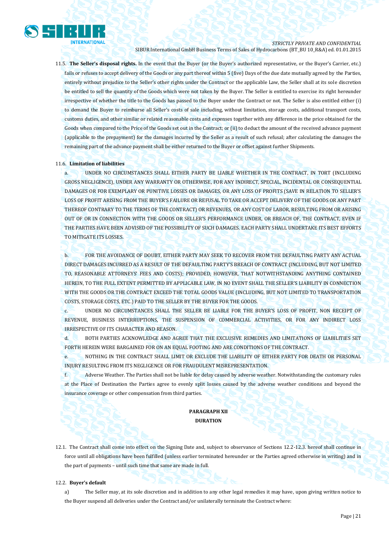

11.5. **The Seller's disposal rights.** In the event that the Buyer (or the Buyer's authorized representative, or the Buyer's Carrier, etc.) fails or refuses to accept delivery of the Goods or any part thereof within 5 (five) Days of the due date mutually agreed by the Parties, entirely without prejudice to the Seller's other rights under the Contract or the applicable Law, the Seller shall at its sole discretion be entitled to sell the quantity of the Goods which were not taken by the Buyer. The Seller is entitled to exercise its right hereunder irrespective of whether the title to the Goods has passed to the Buyer under the Contract or not. The Seller is also entitled either (i) to demand the Buyer to reimburse all Seller's costs of sale including, without limitation, storage costs, additional transport costs, customs duties, and other similar or related reasonable costs and expenses together with any difference in the price obtained for the Goods when compared to the Price of the Goods set out in the Contract; or (ii) to deduct the amount of the received advance payment (applicable to the prepayment) for the damages incurred by the Seller as a result of such refusal; after calculating the damages the remaining part of the advance payment shall be either returned to the Buyer or offset against further Shipments.

## 11.6. **Limitation of liabilities**

a. UNDER NO CIRCUMSTANCES SHALL EITHER PARTY BE LIABLE WHETHER IN THE CONTRACT, IN TORT (INCLUDING GROSS NEGLIGENCE), UNDER ANY WARRANTY OR OTHERWISE, FOR ANY INDIRECT, SPECIAL, INCIDENTAL OR CONSEQUENTIAL DAMAGES OR FOR EXEMPLARY OR PUNITIVE LOSSES OR DAMAGES, OR ANY LOSS OF PROFITS (SAVE IN RELATION TO SELLER'S LOSS OF PROFIT ARISING FROM THE BUYER'S FAILURE OR REFUSAL TO TAKE OR ACCEPT DELIVERY OF THE GOODS OR ANY PART THEREOF CONTRARY TO THE TERMS OF THE CONTRACT) OR REVENUES, OR ANY COST OF LABOR, RESULTING FROM OR ARISING OUT OF OR IN CONNECTION WITH THE GOODS OR SELLER'S PERFORMANCE UNDER, OR BREACH OF, THE CONTRACT, EVEN IF THE PARTIES HAVE BEEN ADVISED OF THE POSSIBILITY OF SUCH DAMAGES. EACH PARTY SHALL UNDERTAKE ITS BEST EFFORTS TO MITIGATE ITS LOSSES.

b. FOR THE AVOIDANCE OF DOUBT, EITHER PARTY MAY SEEK TO RECOVER FROM THE DEFAULTING PARTY ANY ACTUAL DIRECT DAMAGES INCURRED AS A RESULT OF THE DEFAULTING PARTY'S BREACH OF CONTRACT (INCLUDING, BUT NOT LIMITED TO, REASONABLE ATTORNEYS' FEES AND COSTS); PROVIDED, HOWEVER, THAT NOTWITHSTANDING ANYTHING CONTAINED HEREIN, TO THE FULL EXTENT PERMITTED BY APPLICABLE LAW, IN NO EVENT SHALL THE SELLER'S LIABILITY IN CONNECTION WITH THE GOODS OR THE CONTRACT EXCEED THE TOTAL GOODS VALUE (INCLUDING, BUT NOT LIMITED TO TRANSPORTATION COSTS, STORAGE COSTS, ETC.) PAID TO THE SELLER BY THE BUYER FOR THE GOODS.

c. UNDER NO CIRCUMSTANCES SHALL THE SELLER BE LIABLE FOR THE BUYER'S LOSS OF PROFIT, NON RECEIPT OF REVENUE, BUSINESS INTERRUPTIONS, THE SUSPENSION OF COMMERCIAL ACTIVITIES, OR FOR ANY INDIRECT LOSS IRRESPECTIVE OF ITS CHARACTER AND REASON.

d. BOTH PARTIES ACKNOWLEDGE AND AGREE THAT THE EXCLUSIVE REMEDIES AND LIMITATIONS OF LIABILITIES SET FORTH HEREIN WERE BARGAINED FOR ON AN EQUAL FOOTING AND ARE CONDITIONS OF THE CONTRACT.

e. NOTHING IN THE CONTRACT SHALL LIMIT OR EXCLUDE THE LIABILITY OF EITHER PARTY FOR DEATH OR PERSONAL INJURY RESULTING FROM ITS NEGLIGENCE OR FOR FRAUDULENT MISREPRESENTATION.

f. Adverse Weather. The Parties shall not be liable for delay caused by adverse weather. Notwithstanding the customary rules at the Place of Destination the Parties agree to evenly split losses caused by the adverse weather conditions and beyond the insurance coverage or other compensation from third parties.

# **PARAGRAPH XII DURATION**

12.1. The Contract shall come into effect on the Signing Date and, subject to observance of Sections 12.2-12.3. hereof shall continue in force until all obligations have been fulfilled (unless earlier terminated hereunder or the Parties agreed otherwise in writing) and in the part of payments – until such time that same are made in full.

#### 12.2. **Buyer's default**

a) The Seller may, at its sole discretion and in addition to any other legal remedies it may have, upon giving written notice to the Buyer suspend all deliveries under the Contract and/or unilaterally terminate the Contract where: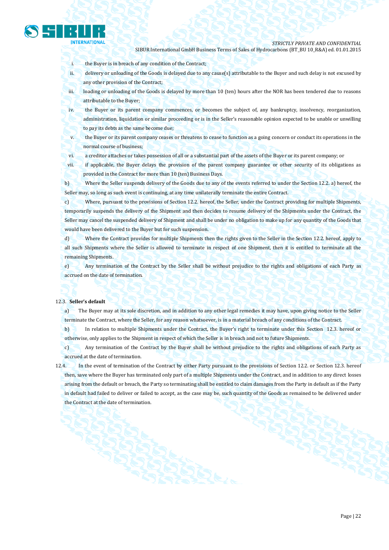

*STRICTLY PRIVATE AND CONFIDENTIAL*

SIBUR International GmbH Business Terms of Sales of Hydrocarbons (BT\_BU 10\_R&A) ed. 01.01.2015

i. the Buyer is in breach of any condition of the Contract;

ii. delivery or unloading of the Goods is delayed due to any cause(s) attributable to the Buyer and such delay is not excused by any other provision of the Contract;

iii. loading or unloading of the Goods is delayed by more than 10 (ten) hours after the NOR has been tendered due to reasons attributable to the Buyer;

iv. the Buyer or its parent company commences, or becomes the subject of, any bankruptcy, insolvency, reorganization, administration, liquidation or similar proceeding or is in the Seller's reasonable opinion expected to be unable or unwilling to pay its debts as the same become due;

v. the Buyer or its parent company ceases or threatens to cease to function as a going concern or conduct its operations in the normal course of business;

vi. a creditor attaches or takes possession of all or a substantial part of the assets of the Buyer or its parent company; or

vii. if applicable, the Buyer delays the provision of the parent company guarantee or other security of its obligations as provided in the Contract for more than 10 (ten) Business Days.

b) Where the Seller suspends delivery of the Goods due to any of the events referred to under the Section 12.2. a) hereof, the Seller may, so long as such event is continuing, at any time unilaterally terminate the entire Contract.

c) Where, pursuant to the provisions of Section 12.2. hereof, the Seller, under the Contract providing for multiple Shipments, temporarily suspends the delivery of the Shipment and then decides to resume delivery of the Shipments under the Contract, the Seller may cancel the suspended delivery of Shipment and shall be under no obligation to make up for any quantity of the Goods that would have been delivered to the Buyer but for such suspension.

d) Where the Contract provides for multiple Shipments then the rights given to the Seller in the Section 12.2. hereof, apply to all such Shipments where the Seller is allowed to terminate in respect of one Shipment, then it is entitled to terminate all the remaining Shipments.

e) Any termination of the Contract by the Seller shall be without prejudice to the rights and obligations of each Party as accrued on the date of termination.

#### 12.3. **Seller's default**

a) The Buyer may at its sole discretion, and in addition to any other legal remedies it may have, upon giving notice to the Seller terminate the Contract, where the Seller, for any reason whatsoever, is in a material breach of any conditions of the Contract.

b) In relation to multiple Shipments under the Contract, the Buyer's right to terminate under this Section 12.3. hereof or otherwise, only applies to the Shipment in respect of which the Seller is in breach and not to future Shipments.

c) Any termination of the Contract by the Buyer shall be without prejudice to the rights and obligations of each Party as accrued at the date of termination.

12.4. In the event of termination of the Contract by either Party pursuant to the provisions of Section 12.2. or Section 12.3. hereof then, save where the Buyer has terminated only part of a multiple Shipments under the Contract, and in addition to any direct losses arising from the default or breach, the Party so terminating shall be entitled to claim damages from the Party in default as if the Party in default had failed to deliver or failed to accept, as the case may be, such quantity of the Goods as remained to be delivered under the Contract at the date of termination.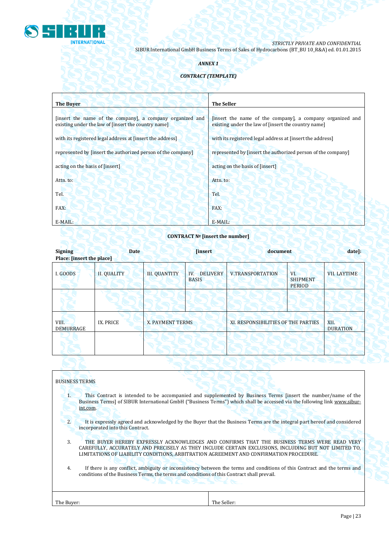

# *ANNEX 1*

# *CONTRACT (TEMPLATE)*

| <b>The Buyer</b>                                                                                                 | <b>The Seller</b>                                                                                                |
|------------------------------------------------------------------------------------------------------------------|------------------------------------------------------------------------------------------------------------------|
| [insert the name of the company], a company organized and<br>existing under the law of [insert the country name] | [insert the name of the company], a company organized and<br>existing under the law of [insert the country name] |
| with its registered legal address at [insert the address]                                                        | with its registered legal address at [insert the address]                                                        |
| represented by [insert the authorized person of the company]                                                     | represented by [insert the authorized person of the company]                                                     |
| acting on the basis of [insert]                                                                                  | acting on the basis of [insert]                                                                                  |
| Attn. to:                                                                                                        | Attn. to:                                                                                                        |
| Tel.                                                                                                             | Tel.                                                                                                             |
| FAX:                                                                                                             | FAX:                                                                                                             |
| E-MAIL:                                                                                                          | E-MAIL:                                                                                                          |

# **CONTRACT № [insert the number]**

| <b>Signing</b><br>Place: [insert the place] | <b>Date</b>        | <b>[insert]</b>      |                                        | document                            |                                         | date]:                  |
|---------------------------------------------|--------------------|----------------------|----------------------------------------|-------------------------------------|-----------------------------------------|-------------------------|
| I. GOODS                                    | <b>II. QUALITY</b> | <b>III. QUANTITY</b> | <b>DELIVERY</b><br>IV.<br><b>BASIS</b> | <b>V.TRANSPORTATION</b>             | VI.<br><b>SHIPMENT</b><br><b>PERIOD</b> | <b>VII. LAYTIME</b>     |
|                                             |                    |                      |                                        |                                     |                                         |                         |
| VIII.<br>DEMURRAGE                          | IX. PRICE          | X. PAYMENT TERMS     |                                        | XI. RESPONSIBILITIES OF THE PARTIES |                                         | XII.<br><b>DURATION</b> |
|                                             |                    |                      |                                        |                                     |                                         |                         |

| <b>BUSINESS TERMS</b>                                                                                                                                                                                                                                                                                |  |  |  |  |
|------------------------------------------------------------------------------------------------------------------------------------------------------------------------------------------------------------------------------------------------------------------------------------------------------|--|--|--|--|
| This Contract is intended to be accompanied and supplemented by Business Terms [insert the number/name of the<br>Business Terms] of SIBUR International GmbH ("Business Terms") which shall be accessed via the following link www.sibur-<br>int.com.                                                |  |  |  |  |
| 2.<br>It is expressly agreed and acknowledged by the Buyer that the Business Terms are the integral part hereof and considered<br>incorporated into this Contract.                                                                                                                                   |  |  |  |  |
| 3.<br>THE BUYER HEREBY EXPRESSLY ACKNOWLEDGES AND CONFIRMS THAT THE BUSINESS TERMS WERE READ VERY<br>CAREFULLY, ACCURATELY AND PRECISELY AS THEY INCLUDE CERTAIN EXCLUSIONS, INCLUDING BUT NOT LIMITED TO,<br>LIMITATIONS OF LIABILITY CONDITIONS, ARBITRATION AGREEMENT AND CONFIRMATION PROCEDURE. |  |  |  |  |
| If there is any conflict, ambiguity or inconsistency between the terms and conditions of this Contract and the terms and<br>4.<br>conditions of the Business Terms, the terms and conditions of this Contract shall prevail.<br>----                                                                 |  |  |  |  |
| The Seller:<br>The Buyer:                                                                                                                                                                                                                                                                            |  |  |  |  |
|                                                                                                                                                                                                                                                                                                      |  |  |  |  |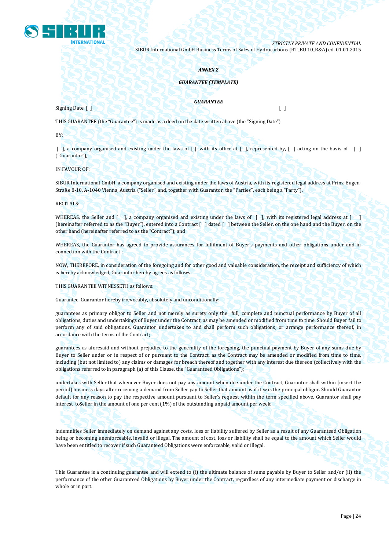

#### *ANNEX 2*

## *GUARANTEE (TEMPLATE)*

#### *GUARANTEE*

Signing Date: [ ] [ ]

THIS GUARANTEE (the "Guarantee") is made as a deed on the date written above (the "Signing Date")

BY:

 $\lceil \cdot \rceil$ , a company organised and existing under the laws of  $\lceil \cdot \rceil$ , with its office at  $\lceil \cdot \rceil$ , represented by,  $\lceil \cdot \rceil$  acting on the basis of  $\lceil \cdot \rceil$ ("Guarantor"),

IN FAVOUR OF:

SIBUR International GmbH, a company organised and existing under the laws of Austria, with its registered legal address at Prinz-Eugen-Straße 8-10, A-1040 Vienna, Austria ("Seller", and, together with Guarantor, the "Parties", each being a "Party").

RECITALS:

WHEREAS, the Seller and [ ], a company organised and existing under the laws of [ ], with its registered legal address at [ (hereinafter referred to as the "Buyer"), entered into a Contract [ ] dated [ ] between the Seller, on the one hand and the Buyer, on the other hand (hereinafter referred to as the "Contract"); and

WHEREAS, the Guarantor has agreed to provide assurances for fulfilment of Buyer's payments and other obligations under and in connection with the Contract ;

NOW, THEREFORE, in consideration of the foregoing and for other good and valuable consideration, the receipt and sufficiency of which is hereby acknowledged, Guarantor hereby agrees as follows:

THIS GUARANTEE WITNESSETH as follows:

Guarantee. Guarantor hereby irrevocably, absolutely and unconditionally:

guarantees as primary obligor to Seller and not merely as surety only the full, complete and punctual performance by Buyer of all obligations, duties and undertakings of Buyer under the Contract, as may be amended or modified from time to time. Should Buyer fail to perform any of said obligations, Guarantor undertakes to and shall perform such obligations, or arrange performance thereof, in accordance with the terms of the Contract;

guarantees as aforesaid and without prejudice to the generality of the foregoing, the punctual payment by Buyer of any sums due by Buyer to Seller under or in respect of or pursuant to the Contract, as the Contract may be amended or modified from time to time, including (but not limited to) any claims or damages for breach thereof and together with any interest due thereon (collectively with the obligations referred to in paragraph (a) of this Clause, the "Guaranteed Obligations");

undertakes with Seller that whenever Buyer does not pay any amount when due under the Contract, Guarantor shall within [insert the period] business days after receiving a demand from Seller pay to Seller that amount as if it was the principal obligor. Should Guarantor default for any reason to pay the respective amount pursuant to Seller's request within the term specified above, Guarantor shall pay interest toSeller in the amount of one per cent (1%) of the outstanding unpaid amount per week;

indemnifies Seller immediately on demand against any costs, loss or liability suffered by Seller as a result of any Guaranteed Obligation being or becoming unenforceable, invalid or illegal. The amount of cost, loss or liability shall be equal to the amount which Seller would have been entitled to recover if such Guaranteed Obligations were enforceable, valid or illegal.

This Guarantee is a continuing guarantee and will extend to (i) the ultimate balance of sums payable by Buyer to Seller and/or (ii) the performance of the other Guaranteed Obligations by Buyer under the Contract, regardless of any intermediate payment or discharge in whole or in part.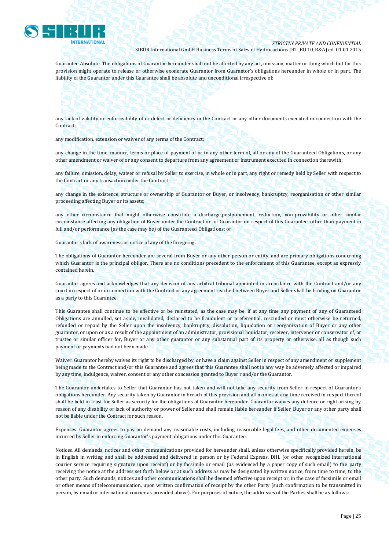

Guarantee Absolute. The obligations of Guarantor hereunder shall not be affected by any act, omission, matter or thing which but for this provision might operate to release or otherwise exonerate Guarantor from Guarantor's obligations hereunder in whole or in part. The liability of the Guarantor under this Guarantee shall be absolute and unconditional irrespective of:

any lack of validity or enforceability of or defect or deficiency in the Contract or any other documents executed in connection with the Contract;

any modification, extension or waiver of any terms of the Contract;

any change in the time, manner, terms or place of payment of or in any other term of, all or any of the Guaranteed Obligations, or any other amendment or waiver of or any consent to departure from any agreement or instrument executed in connection therewith;

any failure, omission, delay, waiver or refusal by Seller to exercise, in whole or in part, any right or remedy held by Seller with respect to the Contract or any transaction under the Contract;

any change in the existence, structure or ownership of Guarantor or Buyer, or insolvency, bankruptcy, reorganisation or other similar proceeding affecting Buyer or its assets;

any other circumstance that might otherwise constitute a discharge,postponement, reduction, non-provability or other similar circumstance affecting any obligation of Buyer under the Contract or of Guarantor on respect of this Guarantee, other than payment in full and/or performance (as the case may be) of the Guaranteed Obligations; or

Guarantor's lack of awareness or notice of any of the foregoing.

The obligations of Guarantor hereunder are several from Buyer or any other person or entity, and are primary obligations concerning which Guarantor is the principal obligor. There are no conditions precedent to the enforcement of this Guarantee, except as expressly contained herein.

Guarantor agrees and acknowledges that any decision of any arbitral tribunal appointed in accordance with the Contract and/or any court in respect of or in connection with the Contract or any agreement reached between Buyer and Seller shall be binding on Guarantor as a party to this Guarantee.

This Guarantee shall continue to be effective or be reinstated, as the case may be, if at any time any payment of any of Guaranteed Obligations are annulled, set aside, invalidated, declared to be fraudulent or preferential, rescinded or must otherwise be returned, refunded or repaid by the Seller upon the insolvency, bankruptcy, dissolution, liquidation or reorganization of Buyer or any other guarantor, or upon or as a result of the appointment of an administrator, provisional liquidator, receiver, intervener or conservator of, or trustee or similar officer for, Buyer or any other guarantor or any substantial part of its property or otherwise, all as though such payment or payments had not been made.

Waiver. Guarantor hereby waives its right to be discharged by, or have a claim against Seller in respect of any amendment or supplement being made to the Contract and/or this Guarantee and agrees that this Guarantee shall not in any way be adversely affected or impaired by any time, indulgence, waiver, consent or any other concession granted to Buyer r and/or the Guarantor.

The Guarantor undertakes to Seller that Guarantor has not taken and will not take any security from Seller in respect of Guarantor's obligations hereunder. Any security taken by Guarantor in breach of this provision and all monies at any time received in respect thereof shall be held in trust for Seller as security for the obligations of Guarantor hereunder. Guarantor waives any defence or right arising by reason of any disability or lack of authority or power of Seller and shall remain liable hereunder if Seller, Buyer or any other party shall not be liable under the Contract for such reason.

Expenses. Guarantor agrees to pay on demand any reasonable costs, including reasonable legal fees, and other documented expenses incurred by Seller in enforcing Guarantor's payment obligations under this Guarantee.

Notices. All demands, notices and other communications provided for hereunder shall, unless otherwise specifically provided herein, be in English in writing and shall be addressed and delivered in person or by Federal Express, DHL (or other recognized international courier service requiring signature upon receipt) or by facsimile or email (as evidenced by a paper copy of such email) to the party receiving the notice at the address set forth below or at such address as may be designated by written notice, from time to time, to the other party. Such demands, notices and other communications shall be deemed effective upon receipt or, in the case of facsimile or email or other means of telecommunication, upon written confirmation of receipt by the other Party (such confirmation to be transmitted in person, by email or international courier as provided above). For purposes of notice, the addresses of the Parties shall be as follows: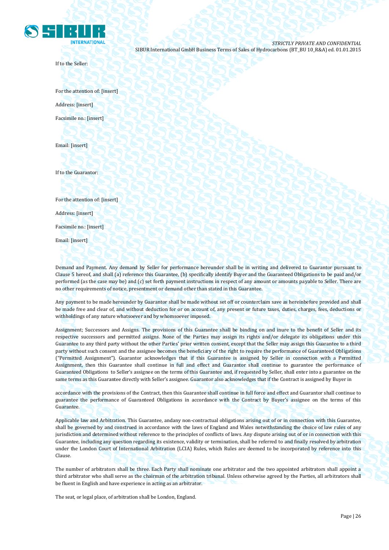

If to the Seller:

For the attention of: [insert] Address: [insert] Facsimile no.: [insert]

Email: [insert]

If to the Guarantor:

For the attention of: [insert]

Address: [insert]

Facsimile no.: [insert]

Email: [insert]

Demand and Payment. Any demand by Seller for performance hereunder shall be in writing and delivered to Guarantor pursuant to Clause 5 hereof, and shall (a) reference this Guarantee, (b) specifically identify Buyer and the Guaranteed Obligations to be paid and/or performed (as the case may be) and (c) set forth payment instructions in respect of any amount or amounts payable to Seller. There are no other requirements of notice, presentment or demand other than stated in this Guarantee.

Any payment to be made hereunder by Guarantor shall be made without set off or counterclaim save as hereinbefore provided and shall be made free and clear of, and without deduction for or on account of, any present or future taxes, duties, charges, fees, deductions or withholdings of any nature whatsoever and by whomsoever imposed.

Assignment; Successors and Assigns. The provisions of this Guarantee shall be binding on and inure to the benefit of Seller and its respective successors and permitted assigns. None of the Parties may assign its rights and/or delegate its obligations under this Guarantee to any third party without the other Parties' prior written consent, except that the Seller may assign this Guarantee to a third party without such consent and the assignee becomes the beneficiary of the right to require the performance of Guaranteed Obligations ("Permitted Assignment"). Guarantor acknowledges that if this Guarantee is assigned by Seller in connection with a Permitted Assignment, then this Guarantee shall continue in full and effect and Guarantor shall continue to guarantee the performance of Guaranteed Obligations to Seller's assignee on the terms of this Guarantee and, if requested by Seller, shall enter into a guarantee on the same terms as this Guarantee directly with Seller's assignee. Guarantor also acknowledges that if the Contract is assigned by Buyer in

accordance with the provisions of the Contract, then this Guarantee shall continue in full force and effect and Guarantor shall continue to guarantee the performance of Guaranteed Obligations in accordance with the Contract by Buyer's assignee on the terms of this Guarantee.

Applicable law and Arbitration. This Guarantee, andany non-contractual obligations arising out of or in connection with this Guarantee, shall be governed by and construed in accordance with the laws of England and Wales notwithstanding the choice of law rules of any jurisdiction and determined without reference to the principles of conflicts of laws. Any dispute arising out of or in connection with this Guarantee, including any question regarding its existence, validity or termination, shall be referred to and finally resolved by arbitration under the London Court of International Arbitration (LCIA) Rules, which Rules are deemed to be incorporated by reference into this Clause.

The number of arbitrators shall be three. Each Party shall nominate one arbitrator and the two appointed arbitrators shall appoint a third arbitrator who shall serve as the chairman of the arbitration tribunal. Unless otherwise agreed by the Parties, all arbitrators shall be fluent in English and have experience in acting as an arbitrator.

The seat, or legal place, of arbitration shall be London, England.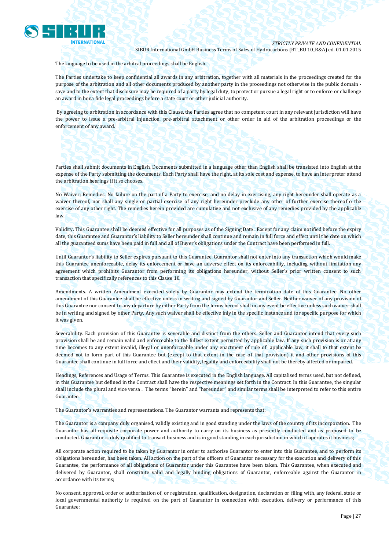

The language to be used in the arbitral proceedings shall be English.

The Parties undertake to keep confidential all awards in any arbitration, together with all materials in the proceedings created for the purpose of the arbitration and all other documents produced by another party in the proceedings not otherwise in the public domain save and to the extent that disclosure may be required of a party by legal duty, to protect or pursue a legal right or to enforce or challenge an award in bona fide legal proceedings before a state court or other judicial authority.

By agreeing to arbitration in accordance with this Clause, the Parties agree that no competent court in any relevant jurisdiction will have the power to issue a pre-arbitral injunction, pre-arbitral attachment or other order in aid of the arbitration proceedings or the enforcement of any award.

Parties shall submit documents in English. Documents submitted in a language other than English shall be translated into English at the expense of the Party submitting the documents. Each Party shall have the right, at its sole cost and expense, to have an interpreter attend the arbitration hearings if it so chooses.

No Waiver; Remedies. No failure on the part of a Party to exercise, and no delay in exercising, any right hereunder shall operate as a waiver thereof, nor shall any single or partial exercise of any right hereunder preclude any other of further exercise thereof o the exercise of any other right. The remedies herein provided are cumulative and not exclusive of any remedies provided by the applicable law.

Validity. This Guarantee shall be deemed effective for all purposes as of the Signing Date . Except for any claim notified before the expiry date, this Guarantee and Guarantor's liability to Seller hereunder shall continue and remain in full force and effect until the date on which all the guaranteed sums have been paid in full and all of Buyer's obligations under the Contract have been performed in full.

Until Guarantor's liability to Seller expires pursuant to this Guarantee, Guarantor shall not enter into any transaction which would make this Guarantee unenforceable, delay its enforcement or have an adverse effect on its enforceability, including without limitation any agreement which prohibits Guarantor from performing its obligations hereunder, without Seller's prior written consent to such transaction that specifically references to this Clause 10.

Amendments. A written Amendment executed solely by Guarantor may extend the termination date of this Guarantee. No other amendment of this Guarantee shall be effective unless in writing and signed by Guarantor and Seller. Neither waiver of any provision of this Guarantee nor consent to any departure by either Party from the terms hereof shall in any event be effective unless such waiver shall be in writing and signed by other Party. Any such waiver shall be effective inly in the specific instance and for specific purpose for which it was given.

Severability. Each provision of this Guarantee is severable and distinct from the others. Seller and Guarantor intend that every such provision shall be and remain valid and enforceable to the fullest extent permitted by applicable law. If any such provision is or at any time becomes to any extent invalid, illegal or unenforceable under any enactment of rule of applicable law, it shall to that extent be deemed not to form part of this Guarantee but (except to that extent in the case of that provision) it and other provisions of this Guarantee shall continue in full force and effect and their validity, legality and enforceability shall not be thereby affected or impaired.

Headings, References and Usage of Terms. This Guarantee is executed in the English language. All capitalised terms used, but not defined, in this Guarantee but defined in the Contract shall have the respective meanings set forth in the Contract. In this Guarantee, the singular shall include the plural and vice versa . The terms "herein" and "hereunder" and similar terms shall be interpreted to refer to this entire Guarantee.

The Guarantor's warranties and representations. The Guarantor warrants and represents that:

The Guarantor is a company duly organised, validly existing and in good standing under the laws of the country of its incorporation. The Guarantor has all requisite corporate power and authority to carry on its business as presently conducted and as proposed to be conducted. Guarantor is duly qualified to transact business and is in good standing in each jurisdiction in which it operates it business;

All corporate action required to be taken by Guarantor in order to authorise Guarantor to enter into this Guarantee, and to perform its obligations hereunder, has been taken. All action on the part of the officers of Guarantor necessary for the execution and delivery of this Guarantee, the performance of all obligations of Guarantor under this Guarantee have been taken. This Guarantee, when executed and delivered by Guarantor, shall constitute valid and legally binding obligations of Guarantor, enforceable against the Guarantor in accordance with its terms;

No consent, approval, order or authorisation of, or registration, qualification, designation, declaration or filing with, any federal, state or local governmental authority is required on the part of Guarantor in connection with execution, delivery or performance of this Guarantee;